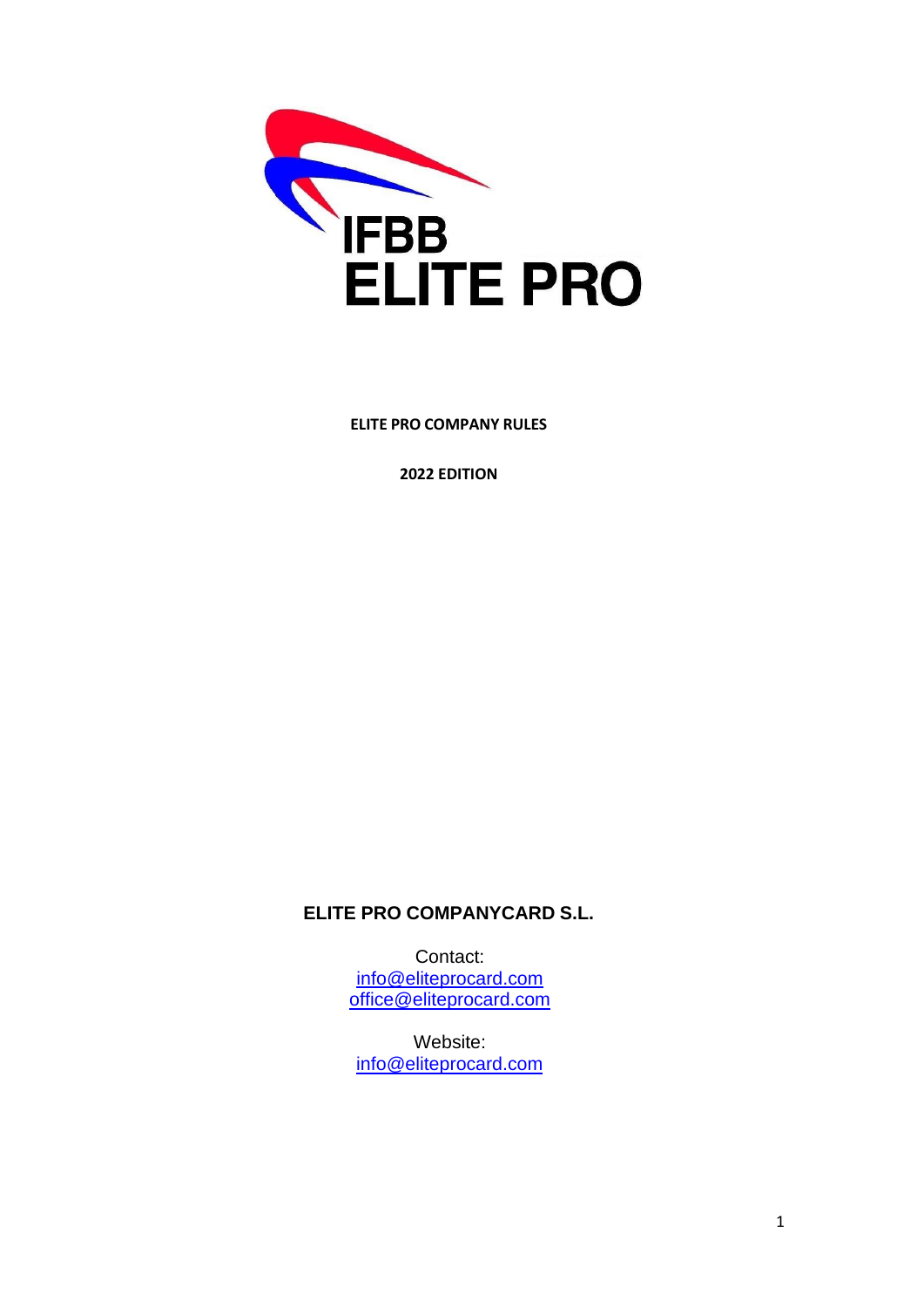

**ELITE PRO COMPANY RULES**

**2022 EDITION**

**ELITE PRO COMPANYCARD S.L.**

Contact: [info@eliteprocard.com](mailto:info@eliteprocard.com) [office@eliteprocard.com](mailto:office@eliteprocard.com)

Website: [info@eliteprocard.com](mailto:info@eliteprocard.com)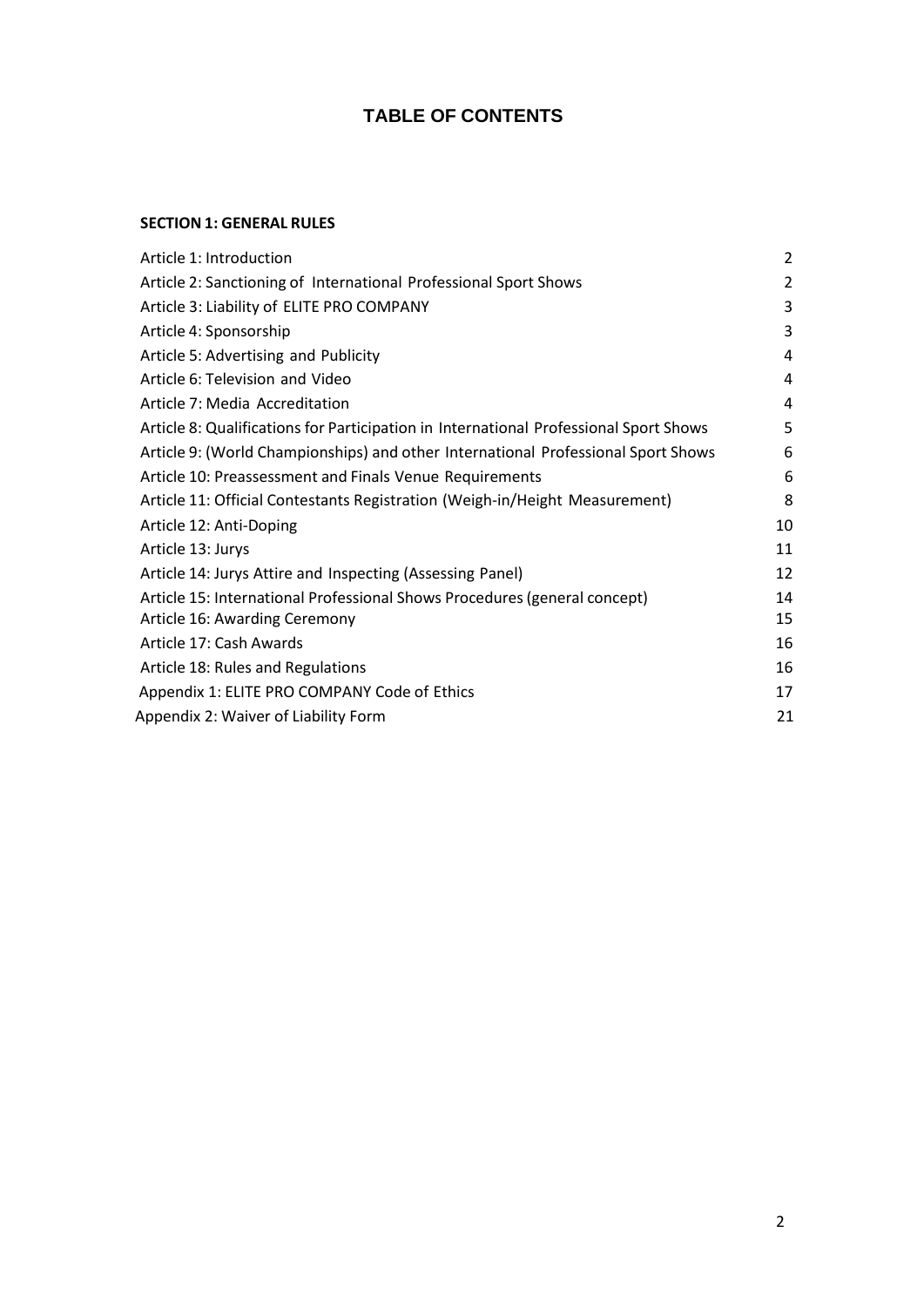# **TABLE OF CONTENTS**

### **SECTION 1: GENERAL RULES**

| Article 1: Introduction                                                               | $\overline{2}$ |
|---------------------------------------------------------------------------------------|----------------|
| Article 2: Sanctioning of International Professional Sport Shows                      | 2              |
| Article 3: Liability of ELITE PRO COMPANY                                             | 3              |
| Article 4: Sponsorship                                                                | 3              |
| Article 5: Advertising and Publicity                                                  | 4              |
| Article 6: Television and Video                                                       | 4              |
| Article 7: Media Accreditation                                                        | 4              |
| Article 8: Qualifications for Participation in International Professional Sport Shows | 5              |
| Article 9: (World Championships) and other International Professional Sport Shows     | 6              |
| Article 10: Preassessment and Finals Venue Requirements                               | 6              |
| Article 11: Official Contestants Registration (Weigh-in/Height Measurement)           | 8              |
| Article 12: Anti-Doping                                                               | 10             |
| Article 13: Jurys                                                                     | 11             |
| Article 14: Jurys Attire and Inspecting (Assessing Panel)                             | 12             |
| Article 15: International Professional Shows Procedures (general concept)             | 14             |
| Article 16: Awarding Ceremony                                                         | 15             |
| Article 17: Cash Awards                                                               | 16             |
| Article 18: Rules and Regulations                                                     | 16             |
| Appendix 1: ELITE PRO COMPANY Code of Ethics                                          | 17             |
| Appendix 2: Waiver of Liability Form                                                  | 21             |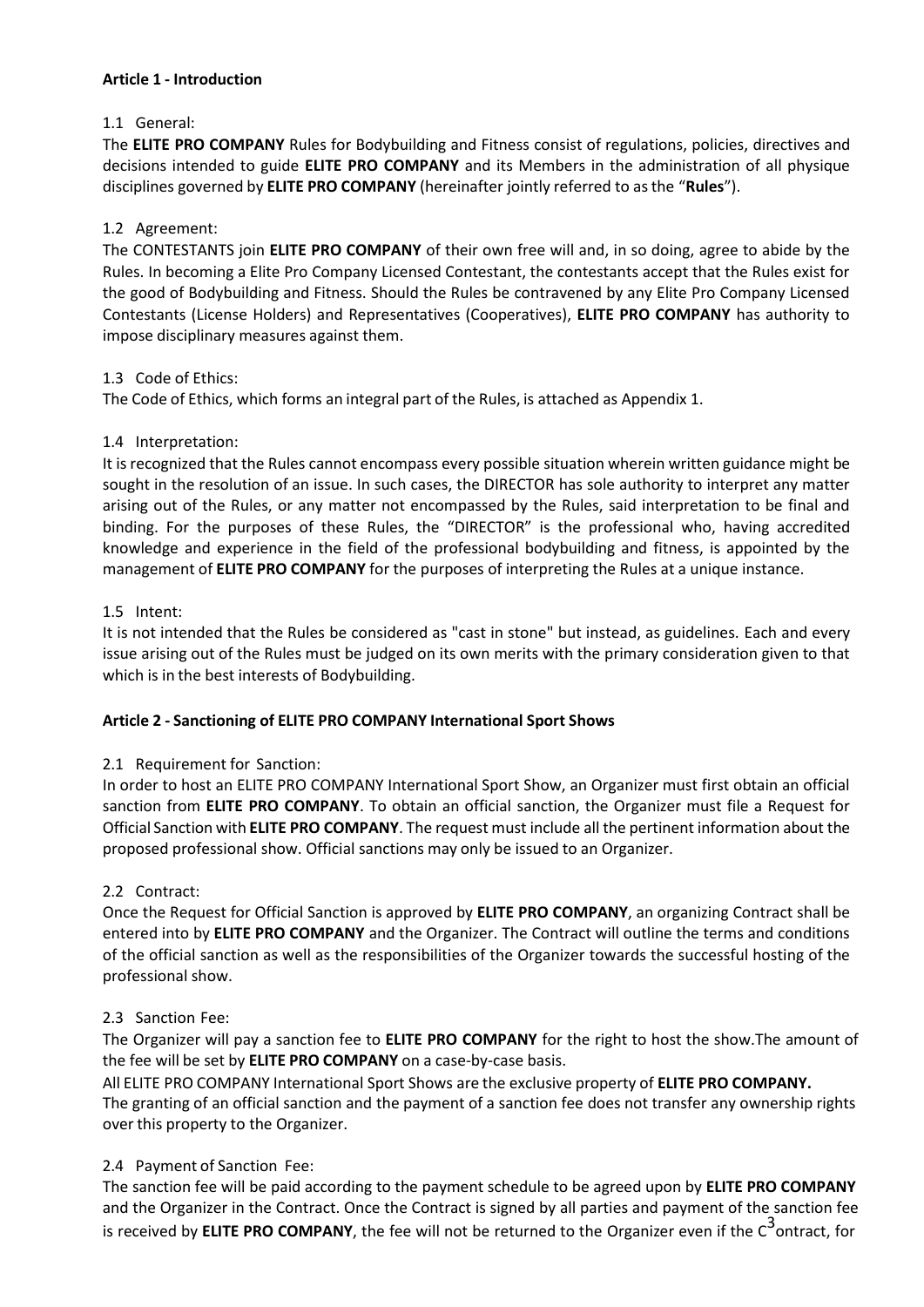#### <span id="page-2-0"></span>**Article 1 - Introduction**

### 1.1 General:

The **ELITE PRO COMPANY** Rules for Bodybuilding and Fitness consist of regulations, policies, directives and decisions intended to guide **ELITE PRO COMPANY** and its Members in the administration of all physique disciplines governed by **ELITE PRO COMPANY** (hereinafter jointly referred to asthe "**Rules**").

#### 1.2 Agreement:

The CONTESTANTS join **ELITE PRO COMPANY** of their own free will and, in so doing, agree to abide by the Rules. In becoming a Elite Pro Company Licensed Contestant, the contestants accept that the Rules exist for the good of Bodybuilding and Fitness. Should the Rules be contravened by any Elite Pro Company Licensed Contestants (License Holders) and Representatives (Cooperatives), **ELITE PRO COMPANY** has authority to impose disciplinary measures against them.

#### 1.3 Code of Ethics:

The Code of Ethics, which forms an integral part of the Rules, is attached as Appendix 1.

#### 1.4 Interpretation:

It is recognized that the Rules cannot encompass every possible situation wherein written guidance might be sought in the resolution of an issue. In such cases, the DIRECTOR has sole authority to interpret any matter arising out of the Rules, or any matter not encompassed by the Rules, said interpretation to be final and binding. For the purposes of these Rules, the "DIRECTOR" is the professional who, having accredited knowledge and experience in the field of the professional bodybuilding and fitness, is appointed by the management of **ELITE PRO COMPANY** for the purposes of interpreting the Rules at a unique instance.

#### 1.5 Intent:

It is not intended that the Rules be considered as "cast in stone" but instead, as guidelines. Each and every issue arising out of the Rules must be judged on its own merits with the primary consideration given to that which is in the best interests of Bodybuilding.

### **Article 2 - Sanctioning of ELITE PRO COMPANY International Sport Shows**

### 2.1 Requirement for Sanction:

In order to host an ELITE PRO COMPANY International Sport Show, an Organizer must first obtain an official sanction from **ELITE PRO COMPANY**. To obtain an official sanction, the Organizer must file a Request for Official Sanction with **ELITE PRO COMPANY**. The request must include all the pertinent information about the proposed professional show. Official sanctions may only be issued to an Organizer.

### 2.2 Contract:

Once the Request for Official Sanction is approved by **ELITE PRO COMPANY**, an organizing Contract shall be entered into by **ELITE PRO COMPANY** and the Organizer. The Contract will outline the terms and conditions of the official sanction as well as the responsibilities of the Organizer towards the successful hosting of the professional show.

### 2.3 Sanction Fee:

The Organizer will pay a sanction fee to **ELITE PRO COMPANY** for the right to host the show.The amount of the fee will be set by **ELITE PRO COMPANY** on a case-by-case basis.

All ELITE PRO COMPANY International Sport Shows are the exclusive property of **ELITE PRO COMPANY.** The granting of an official sanction and the payment of a sanction fee does not transfer any ownership rights over this property to the Organizer.

### 2.4 Payment of Sanction Fee:

The sanction fee will be paid according to the payment schedule to be agreed upon by **ELITE PRO COMPANY** and the Organizer in the Contract. Once the Contract is signed by all parties and payment of the sanction fee is received by **ELITE PRO COMPANY**, the fee will not be returned to the Organizer even if the C 3 ontract, for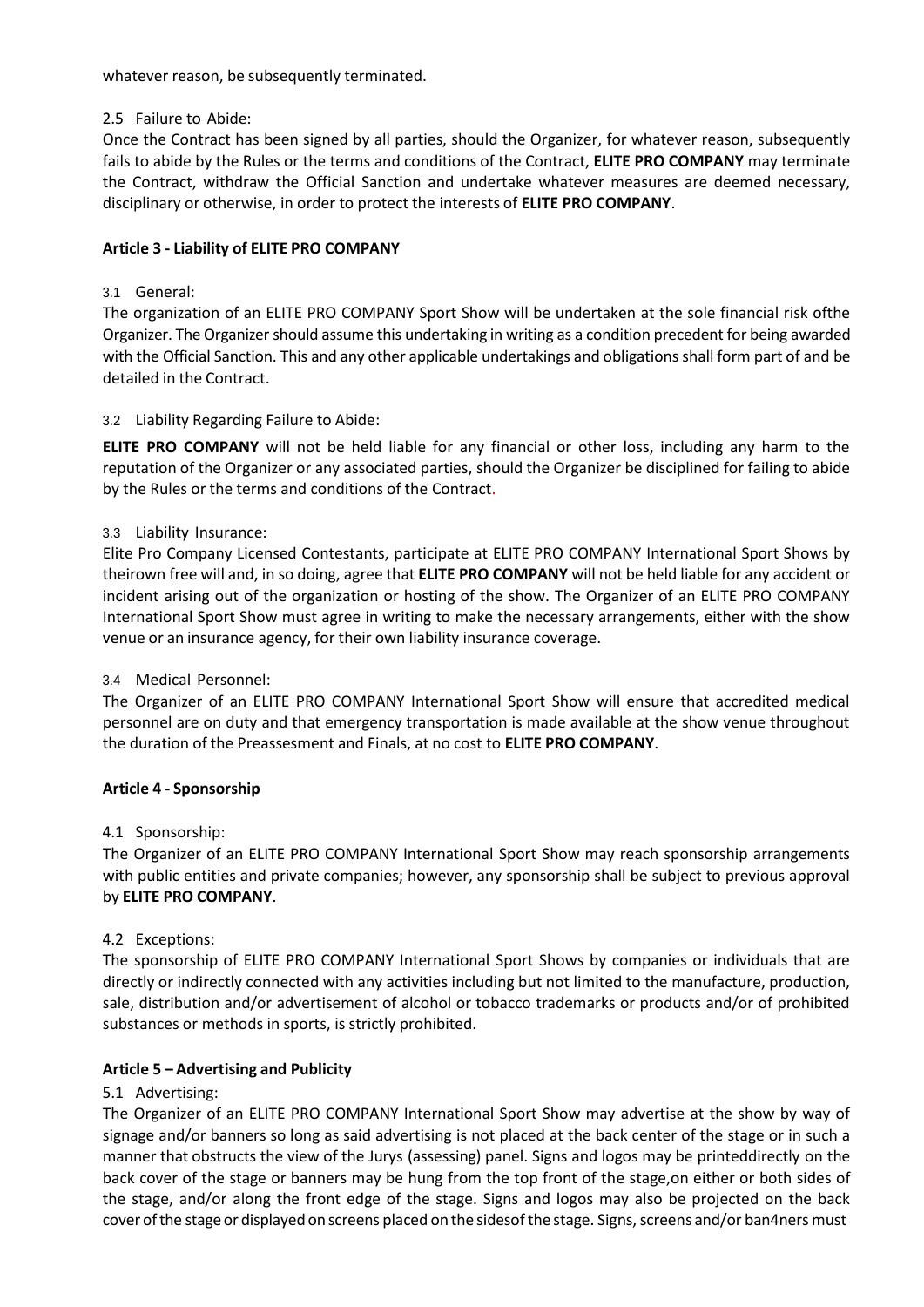whatever reason, be subsequently terminated.

#### 2.5 Failure to Abide:

Once the Contract has been signed by all parties, should the Organizer, for whatever reason, subsequently fails to abide by the Rules or the terms and conditions of the Contract, **ELITE PRO COMPANY** may terminate the Contract, withdraw the Official Sanction and undertake whatever measures are deemed necessary, disciplinary or otherwise, in order to protect the interests of **ELITE PRO COMPANY**.

### <span id="page-3-0"></span>**Article 3 - Liability of ELITE PRO COMPANY**

### 3.1 General:

The organization of an ELITE PRO COMPANY Sport Show will be undertaken at the sole financial risk ofthe Organizer. The Organizer should assume this undertaking in writing as a condition precedent for being awarded with the Official Sanction. This and any other applicable undertakings and obligations shall form part of and be detailed in the Contract.

# 3.2 Liability Regarding Failure to Abide:

**ELITE PRO COMPANY** will not be held liable for any financial or other loss, including any harm to the reputation of the Organizer or any associated parties, should the Organizer be disciplined for failing to abide by the Rules or the terms and conditions of the Contract.

### 3.3 Liability Insurance:

Elite Pro Company Licensed Contestants, participate at ELITE PRO COMPANY International Sport Shows by theirown free will and, in so doing, agree that **ELITE PRO COMPANY** will not be held liable for any accident or incident arising out of the organization or hosting of the show. The Organizer of an ELITE PRO COMPANY International Sport Show must agree in writing to make the necessary arrangements, either with the show venue or an insurance agency, for their own liability insurance coverage.

### 3.4 Medical Personnel:

The Organizer of an ELITE PRO COMPANY International Sport Show will ensure that accredited medical personnel are on duty and that emergency transportation is made available at the show venue throughout the duration of the Preassesment and Finals, at no cost to **ELITE PRO COMPANY**.

### <span id="page-3-1"></span>**Article 4 - Sponsorship**

### 4.1 Sponsorship:

The Organizer of an ELITE PRO COMPANY International Sport Show may reach sponsorship arrangements with public entities and private companies; however, any sponsorship shall be subject to previous approval by **ELITE PRO COMPANY**.

### 4.2 Exceptions:

The sponsorship of ELITE PRO COMPANY International Sport Shows by companies or individuals that are directly or indirectly connected with any activities including but not limited to the manufacture, production, sale, distribution and/or advertisement of alcohol or tobacco trademarks or products and/or of prohibited substances or methods in sports, is strictly prohibited.

### <span id="page-3-2"></span>**Article 5 – Advertising and Publicity**

# 5.1 Advertising:

The Organizer of an ELITE PRO COMPANY International Sport Show may advertise at the show by way of signage and/or banners so long as said advertising is not placed at the back center of the stage or in such a manner that obstructs the view of the Jurys (assessing) panel. Signs and logos may be printeddirectly on the back cover of the stage or banners may be hung from the top front of the stage,on either or both sides of the stage, and/or along the front edge of the stage. Signs and logos may also be projected on the back cover of the stage or displayed on screens placed on the sidesof the stage. Signs, screens and/or ban4ners must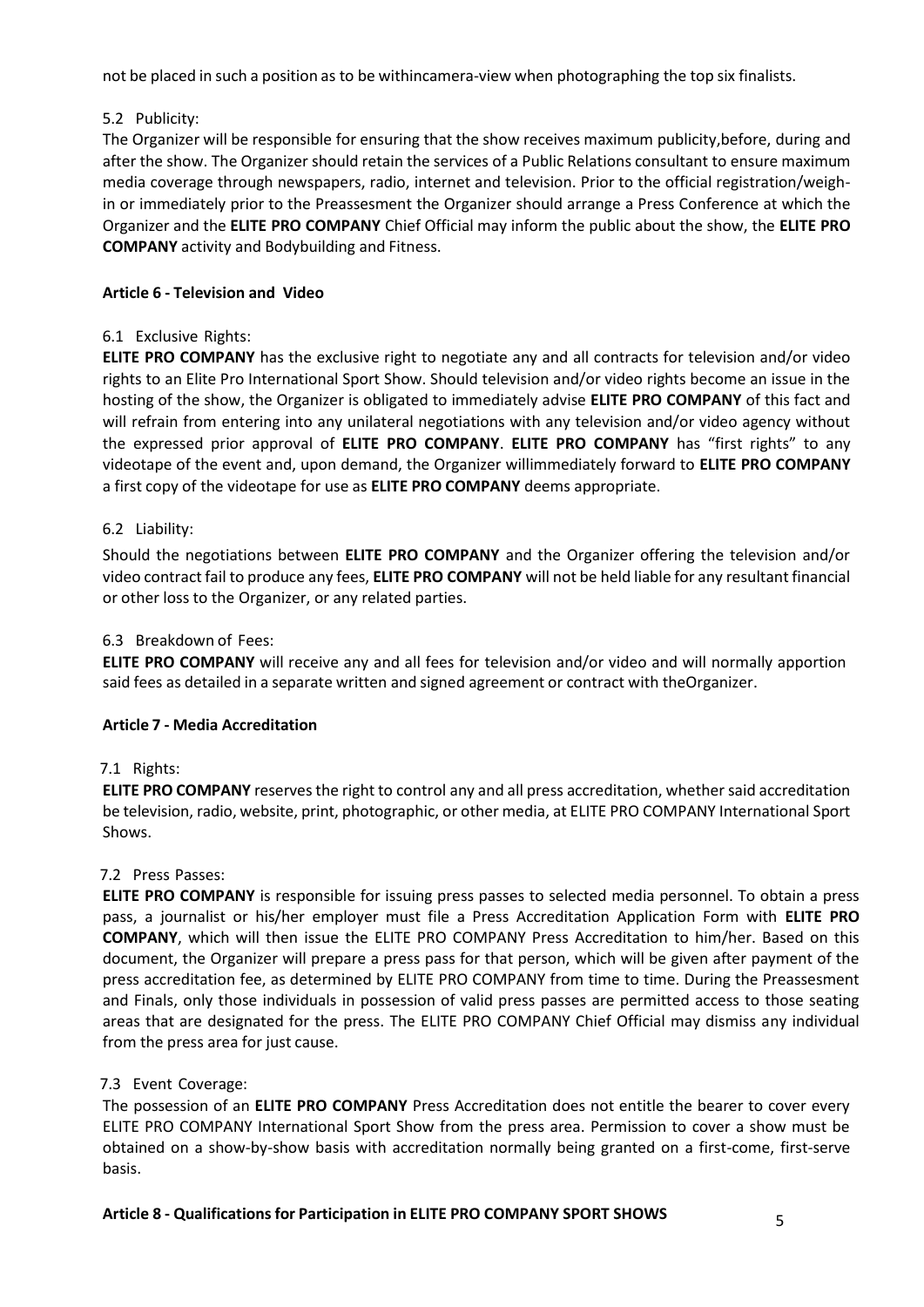not be placed in such a position as to be withincamera-view when photographing the top six finalists.

# 5.2 Publicity:

The Organizer will be responsible for ensuring that the show receives maximum publicity,before, during and after the show. The Organizer should retain the services of a Public Relations consultant to ensure maximum media coverage through newspapers, radio, internet and television. Prior to the official registration/weighin or immediately prior to the Preassesment the Organizer should arrange a Press Conference at which the Organizer and the **ELITE PRO COMPANY** Chief Official may inform the public about the show, the **ELITE PRO COMPANY** activity and Bodybuilding and Fitness.

# <span id="page-4-0"></span>**Article 6 - Television and Video**

### 6.1 Exclusive Rights:

**ELITE PRO COMPANY** has the exclusive right to negotiate any and all contracts for television and/or video rights to an Elite Pro International Sport Show. Should television and/or video rights become an issue in the hosting of the show, the Organizer is obligated to immediately advise **ELITE PRO COMPANY** of this fact and will refrain from entering into any unilateral negotiations with any television and/or video agency without the expressed prior approval of **ELITE PRO COMPANY**. **ELITE PRO COMPANY** has "first rights" to any videotape of the event and, upon demand, the Organizer willimmediately forward to **ELITE PRO COMPANY** a first copy of the videotape for use as **ELITE PRO COMPANY** deems appropriate.

# 6.2 Liability:

Should the negotiations between **ELITE PRO COMPANY** and the Organizer offering the television and/or video contract fail to produce any fees, **ELITE PRO COMPANY** will not be held liable for any resultant financial or other loss to the Organizer, or any related parties.

# 6.3 Breakdown of Fees:

**ELITE PRO COMPANY** will receive any and all fees for television and/or video and will normally apportion said fees as detailed in a separate written and signed agreement or contract with theOrganizer.

### <span id="page-4-1"></span>**Article 7 - Media Accreditation**

### 7.1 Rights:

**ELITE PRO COMPANY** reservesthe right to control any and all press accreditation, whethersaid accreditation be television, radio, website, print, photographic, or other media, at ELITE PRO COMPANY International Sport Shows.

### 7.2 Press Passes:

**ELITE PRO COMPANY** is responsible for issuing press passes to selected media personnel. To obtain a press pass, a journalist or his/her employer must file a Press Accreditation Application Form with **ELITE PRO COMPANY**, which will then issue the ELITE PRO COMPANY Press Accreditation to him/her. Based on this document, the Organizer will prepare a press pass for that person, which will be given after payment of the press accreditation fee, as determined by ELITE PRO COMPANY from time to time. During the Preassesment and Finals, only those individuals in possession of valid press passes are permitted access to those seating areas that are designated for the press. The ELITE PRO COMPANY Chief Official may dismiss any individual from the press area for just cause.

### 7.3 Event Coverage:

The possession of an **ELITE PRO COMPANY** Press Accreditation does not entitle the bearer to cover every ELITE PRO COMPANY International Sport Show from the press area. Permission to cover a show must be obtained on a show-by-show basis with accreditation normally being granted on a first-come, first-serve basis.

# **Article 8 - Qualificationsfor Participation in ELITE PRO COMPANY SPORT SHOWS** 5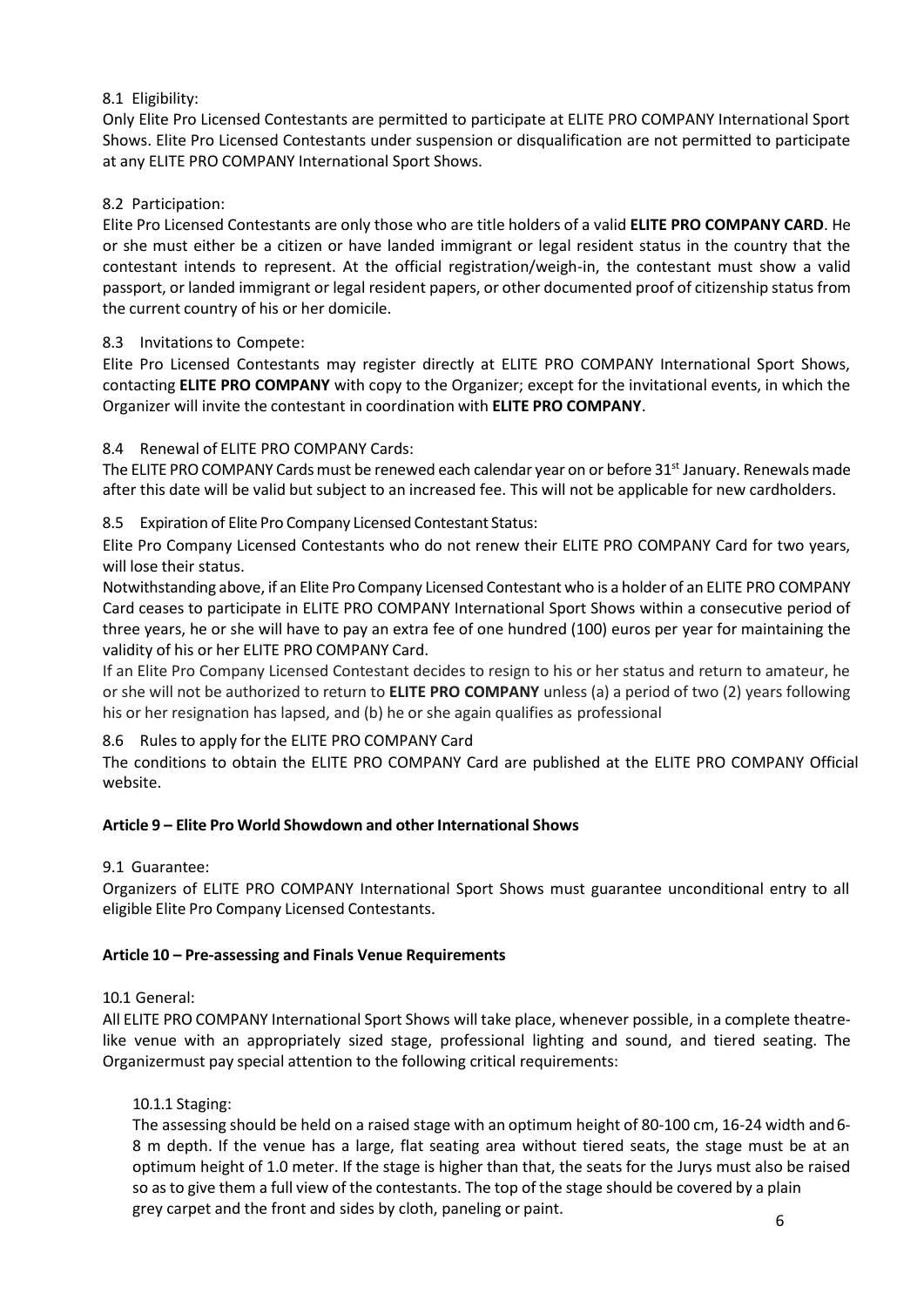# 8.1 Eligibility:

Only Elite Pro Licensed Contestants are permitted to participate at ELITE PRO COMPANY International Sport Shows. Elite Pro Licensed Contestants under suspension or disqualification are not permitted to participate at any ELITE PRO COMPANY International Sport Shows.

### 8.2 Participation:

Elite Pro Licensed Contestants are only those who are title holders of a valid **ELITE PRO COMPANY CARD**. He or she must either be a citizen or have landed immigrant or legal resident status in the country that the contestant intends to represent. At the official registration/weigh-in, the contestant must show a valid passport, or landed immigrant or legal resident papers, or other documented proof of citizenship status from the current country of his or her domicile.

### 8.3 Invitations to Compete:

Elite Pro Licensed Contestants may register directly at ELITE PRO COMPANY International Sport Shows, contacting **ELITE PRO COMPANY** with copy to the Organizer; except for the invitational events, in which the Organizer will invite the contestant in coordination with **ELITE PRO COMPANY**.

# 8.4 Renewal of ELITE PRO COMPANY Cards:

The ELITE PRO COMPANY Cards must be renewed each calendar year on or before  $31<sup>st</sup>$  January. Renewals made after this date will be valid but subject to an increased fee. This will not be applicable for new cardholders.

8.5 Expiration of Elite Pro Company Licensed Contestant Status:

Elite Pro Company Licensed Contestants who do not renew their ELITE PRO COMPANY Card for two years, will lose their status.

Notwithstanding above, if an Elite Pro Company Licensed Contestant who is a holder of an ELITE PRO COMPANY Card ceases to participate in ELITE PRO COMPANY International Sport Shows within a consecutive period of three years, he or she will have to pay an extra fee of one hundred (100) euros per year for maintaining the validity of his or her ELITE PRO COMPANY Card.

If an Elite Pro Company Licensed Contestant decides to resign to his or her status and return to amateur, he or she will not be authorized to return to **ELITE PRO COMPANY** unless (a) a period of two (2) years following his or her resignation has lapsed, and (b) he or she again qualifies as professional

8.6 Rules to apply for the ELITE PRO COMPANY Card

The conditions to obtain the ELITE PRO COMPANY Card are published at the ELITE PRO COMPANY Official website.

### **Article 9 – Elite Pro World Showdown and other International Shows**

### 9.1 Guarantee:

Organizers of ELITE PRO COMPANY International Sport Shows must guarantee unconditional entry to all eligible Elite Pro Company Licensed Contestants.

### **Article 10 – Pre-assessing and Finals Venue Requirements**

10.1 General:

All ELITE PRO COMPANY International Sport Shows will take place, whenever possible, in a complete theatrelike venue with an appropriately sized stage, professional lighting and sound, and tiered seating. The Organizermust pay special attention to the following critical requirements:

### 10.1.1 Staging:

The assessing should be held on a raised stage with an optimum height of 80-100 cm, 16-24 width and6- 8 m depth. If the venue has a large, flat seating area without tiered seats, the stage must be at an optimum height of 1.0 meter. If the stage is higher than that, the seats for the Jurys must also be raised so as to give them a full view of the contestants. The top of the stage should be covered by a plain grey carpet and the front and sides by cloth, paneling or paint.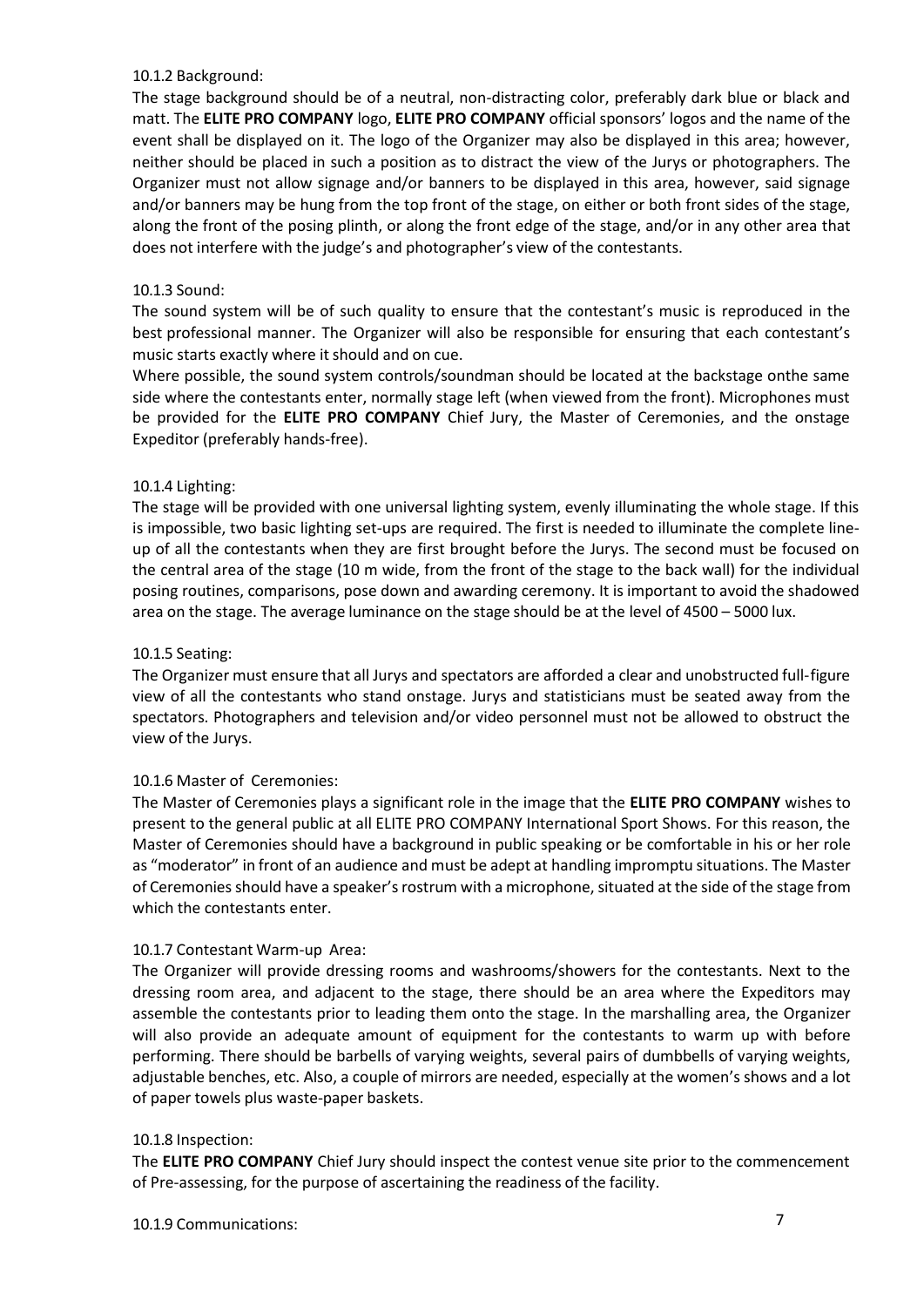#### 10.1.2 Background:

The stage background should be of a neutral, non-distracting color, preferably dark blue or black and matt. The **ELITE PRO COMPANY** logo, **ELITE PRO COMPANY** official sponsors' logos and the name of the event shall be displayed on it. The logo of the Organizer may also be displayed in this area; however, neither should be placed in such a position as to distract the view of the Jurys or photographers. The Organizer must not allow signage and/or banners to be displayed in this area, however, said signage and/or banners may be hung from the top front of the stage, on either or both front sides of the stage, along the front of the posing plinth, or along the front edge of the stage, and/or in any other area that does not interfere with the judge's and photographer's view of the contestants.

#### 10.1.3 Sound:

The sound system will be of such quality to ensure that the contestant's music is reproduced in the best professional manner. The Organizer will also be responsible for ensuring that each contestant's music starts exactly where it should and on cue.

Where possible, the sound system controls/soundman should be located at the backstage onthe same side where the contestants enter, normally stage left (when viewed from the front). Microphones must be provided for the **ELITE PRO COMPANY** Chief Jury, the Master of Ceremonies, and the onstage Expeditor (preferably hands-free).

#### 10.1.4 Lighting:

The stage will be provided with one universal lighting system, evenly illuminating the whole stage. If this is impossible, two basic lighting set-ups are required. The first is needed to illuminate the complete lineup of all the contestants when they are first brought before the Jurys. The second must be focused on the central area of the stage (10 m wide, from the front of the stage to the back wall) for the individual posing routines, comparisons, pose down and awarding ceremony. It is important to avoid the shadowed area on the stage. The average luminance on the stage should be at the level of 4500 – 5000 lux.

#### 10.1.5 Seating:

The Organizer must ensure that all Jurys and spectators are afforded a clear and unobstructed full-figure view of all the contestants who stand onstage. Jurys and statisticians must be seated away from the spectators. Photographers and television and/or video personnel must not be allowed to obstruct the view of the Jurys.

#### 10.1.6 Master of Ceremonies:

The Master of Ceremonies plays a significant role in the image that the **ELITE PRO COMPANY** wishes to present to the general public at all ELITE PRO COMPANY International Sport Shows. For this reason, the Master of Ceremonies should have a background in public speaking or be comfortable in his or her role as "moderator" in front of an audience and must be adept at handling impromptu situations. The Master of Ceremonies should have a speaker's rostrum with a microphone, situated at the side of the stage from which the contestants enter.

#### 10.1.7 Contestant Warm-up Area:

The Organizer will provide dressing rooms and washrooms/showers for the contestants. Next to the dressing room area, and adjacent to the stage, there should be an area where the Expeditors may assemble the contestants prior to leading them onto the stage. In the marshalling area, the Organizer will also provide an adequate amount of equipment for the contestants to warm up with before performing. There should be barbells of varying weights, several pairs of dumbbells of varying weights, adjustable benches, etc. Also, a couple of mirrors are needed, especially at the women's shows and a lot of paper towels plus waste-paper baskets.

#### 10.1.8 Inspection:

The **ELITE PRO COMPANY** Chief Jury should inspect the contest venue site prior to the commencement of Pre-assessing, for the purpose of ascertaining the readiness of the facility.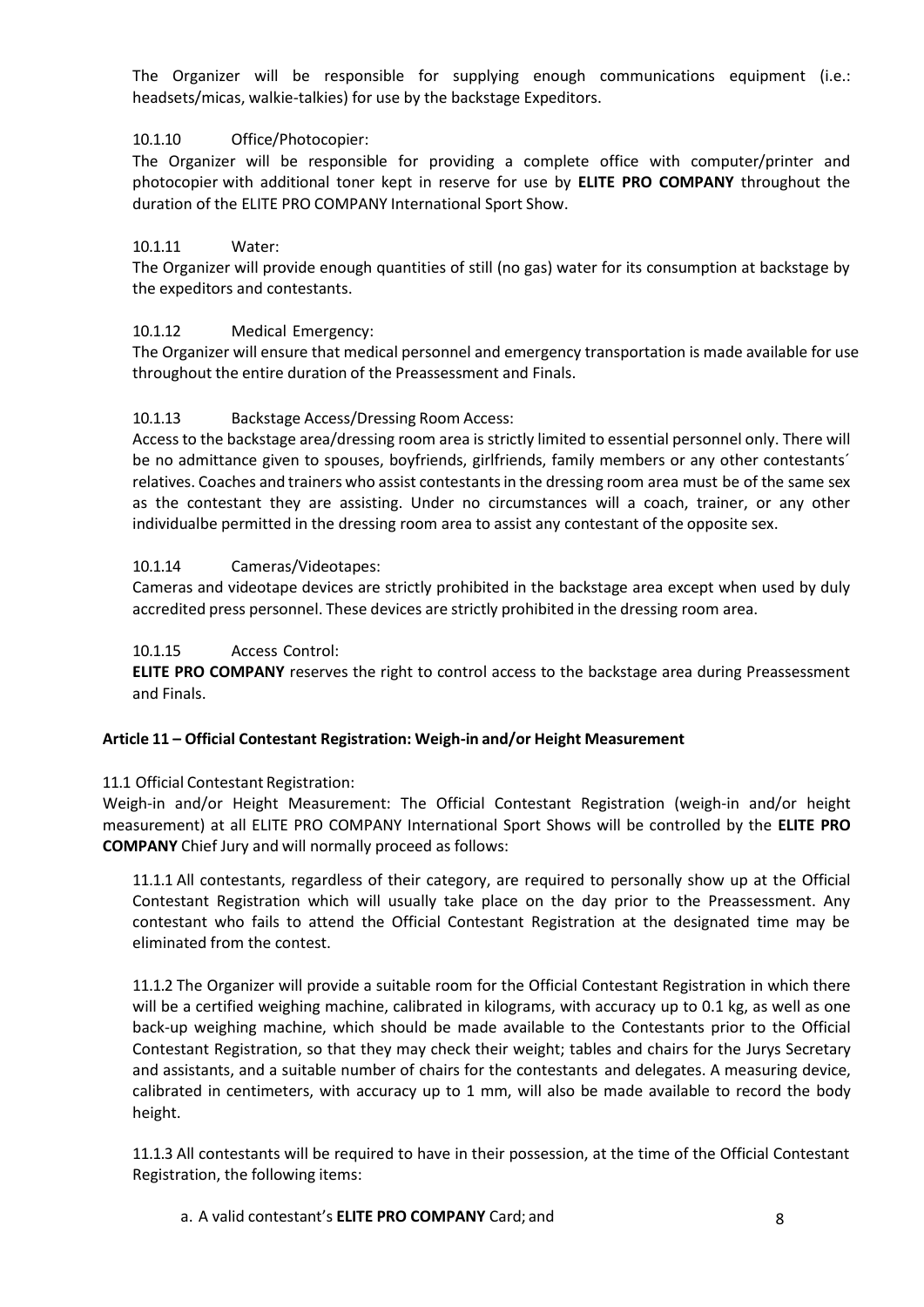The Organizer will be responsible for supplying enough communications equipment (i.e.: headsets/micas, walkie-talkies) for use by the backstage Expeditors.

## 10.1.10 Office/Photocopier:

The Organizer will be responsible for providing a complete office with computer/printer and photocopier with additional toner kept in reserve for use by **ELITE PRO COMPANY** throughout the duration of the ELITE PRO COMPANY International Sport Show.

## 10.1.11 Water:

The Organizer will provide enough quantities of still (no gas) water for its consumption at backstage by the expeditors and contestants.

### 10.1.12 Medical Emergency:

The Organizer will ensure that medical personnel and emergency transportation is made available for use throughout the entire duration of the Preassessment and Finals.

### 10.1.13 Backstage Access/Dressing Room Access:

Access to the backstage area/dressing room area is strictly limited to essential personnel only. There will be no admittance given to spouses, boyfriends, girlfriends, family members or any other contestants' relatives. Coaches and trainers who assist contestants in the dressing room area must be of the same sex as the contestant they are assisting. Under no circumstances will a coach, trainer, or any other individualbe permitted in the dressing room area to assist any contestant of the opposite sex.

### 10.1.14 Cameras/Videotapes:

Cameras and videotape devices are strictly prohibited in the backstage area except when used by duly accredited press personnel. These devices are strictly prohibited in the dressing room area.

#### 10.1.15 Access Control:

**ELITE PRO COMPANY** reserves the right to control access to the backstage area during Preassessment and Finals.

### **Article 11 – Official Contestant Registration: Weigh-in and/or Height Measurement**

### 11.1 Official Contestant Registration:

Weigh-in and/or Height Measurement: The Official Contestant Registration (weigh-in and/or height measurement) at all ELITE PRO COMPANY International Sport Shows will be controlled by the **ELITE PRO COMPANY** Chief Jury and will normally proceed as follows:

11.1.1 All contestants, regardless of their category, are required to personally show up at the Official Contestant Registration which will usually take place on the day prior to the Preassessment. Any contestant who fails to attend the Official Contestant Registration at the designated time may be eliminated from the contest.

11.1.2 The Organizer will provide a suitable room for the Official Contestant Registration in which there will be a certified weighing machine, calibrated in kilograms, with accuracy up to 0.1 kg, as well as one back-up weighing machine, which should be made available to the Contestants prior to the Official Contestant Registration, so that they may check their weight; tables and chairs for the Jurys Secretary and assistants, and a suitable number of chairs for the contestants and delegates. A measuring device, calibrated in centimeters, with accuracy up to 1 mm, will also be made available to record the body height.

11.1.3 All contestants will be required to have in their possession, at the time of the Official Contestant Registration, the following items:

#### a. A valid contestant's **ELITE PRO COMPANY** Card; and 8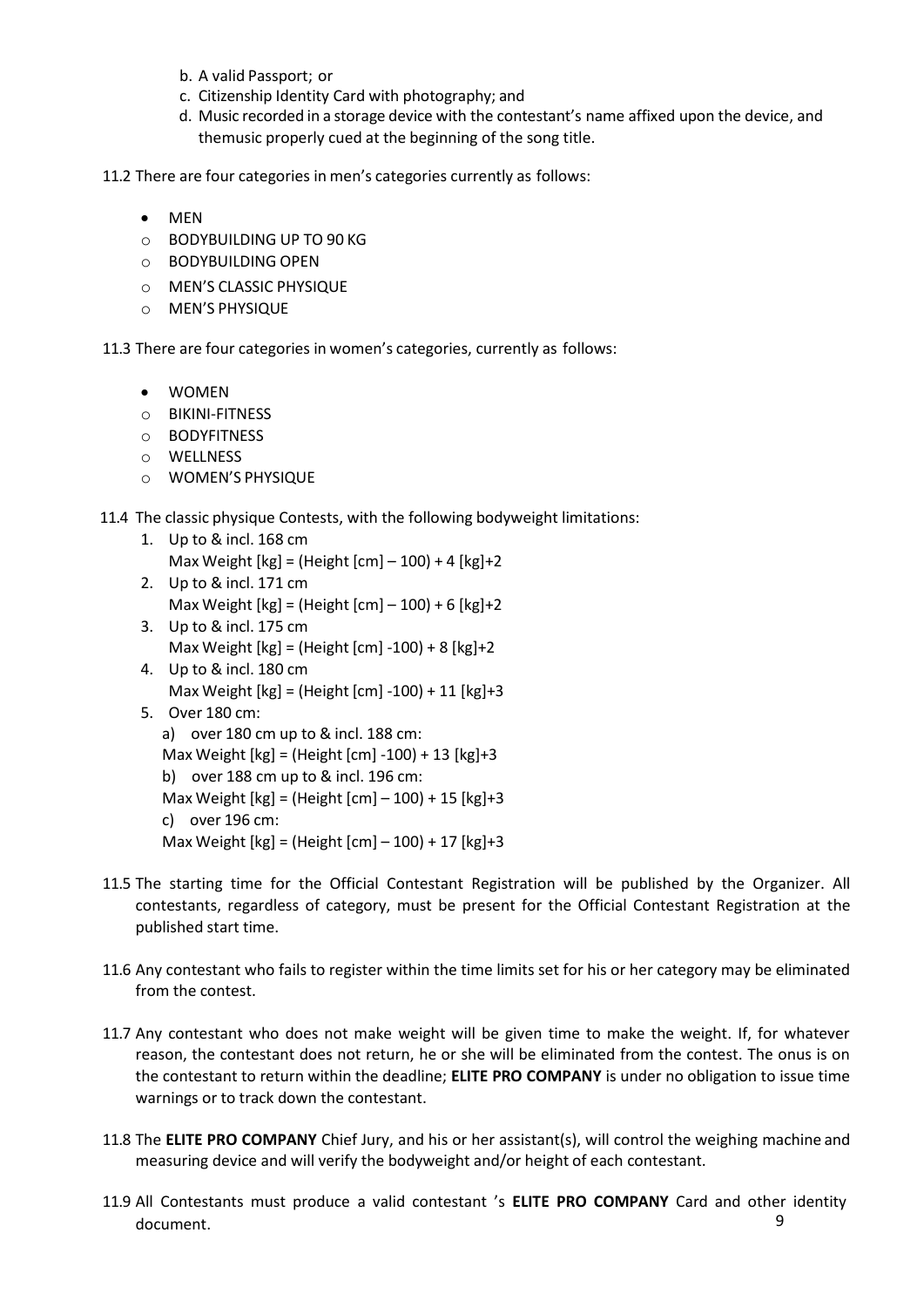- b. A valid Passport; or
- c. Citizenship Identity Card with photography; and
- d. Music recorded in a storage device with the contestant's name affixed upon the device, and themusic properly cued at the beginning of the song title.

11.2 There are four categories in men's categories currently as follows:

- MEN
- o BODYBUILDING UP TO 90 KG
- o BODYBUILDING OPEN
- o MEN'S CLASSIC PHYSIQUE
- o MEN'S PHYSIQUE

11.3 There are four categories in women's categories, currently as follows:

- WOMEN
- o BIKINI-FITNESS
- o BODYFITNESS
- o WELLNESS
- o WOMEN'S PHYSIQUE

11.4 The classic physique Contests, with the following bodyweight limitations:

- 1. Up to & incl. 168 cm Max Weight  $[kg] = (Height [cm] - 100) + 4 [kg] + 2$
- 2. Up to & incl. 171 cm Max Weight [kg] = (Height [cm] – 100) + 6 [kg]+2
- 3. Up to & incl. 175 cm Max Weight [kg] = (Height [cm] -100) + 8 [kg]+2
- 4. Up to & incl. 180 cm Max Weight [kg] = (Height [cm] -100) + 11 [kg]+3
- 5. Over 180 cm:
	- a) over 180 cm up to & incl. 188 cm:

```
Max Weight [kg] = (Height [cm] -100) + 13 [kg]+3
```
b) over 188 cm up to & incl. 196 cm:

Max Weight [kg] = (Height [cm] – 100) + 15 [kg]+3

- c) over 196 cm:
- Max Weight [kg] = (Height [cm] 100) + 17 [kg]+3
- 11.5 The starting time for the Official Contestant Registration will be published by the Organizer. All contestants, regardless of category, must be present for the Official Contestant Registration at the published start time.
- 11.6 Any contestant who fails to register within the time limits set for his or her category may be eliminated from the contest.
- 11.7 Any contestant who does not make weight will be given time to make the weight. If, for whatever reason, the contestant does not return, he or she will be eliminated from the contest. The onus is on the contestant to return within the deadline; **ELITE PRO COMPANY** is under no obligation to issue time warnings or to track down the contestant.
- 11.8 The **ELITE PRO COMPANY** Chief Jury, and his or her assistant(s), will control the weighing machine and measuring device and will verify the bodyweight and/or height of each contestant.
- 11.9 All Contestants must produce a valid contestant 's **ELITE PRO COMPANY** Card and other identity document. 9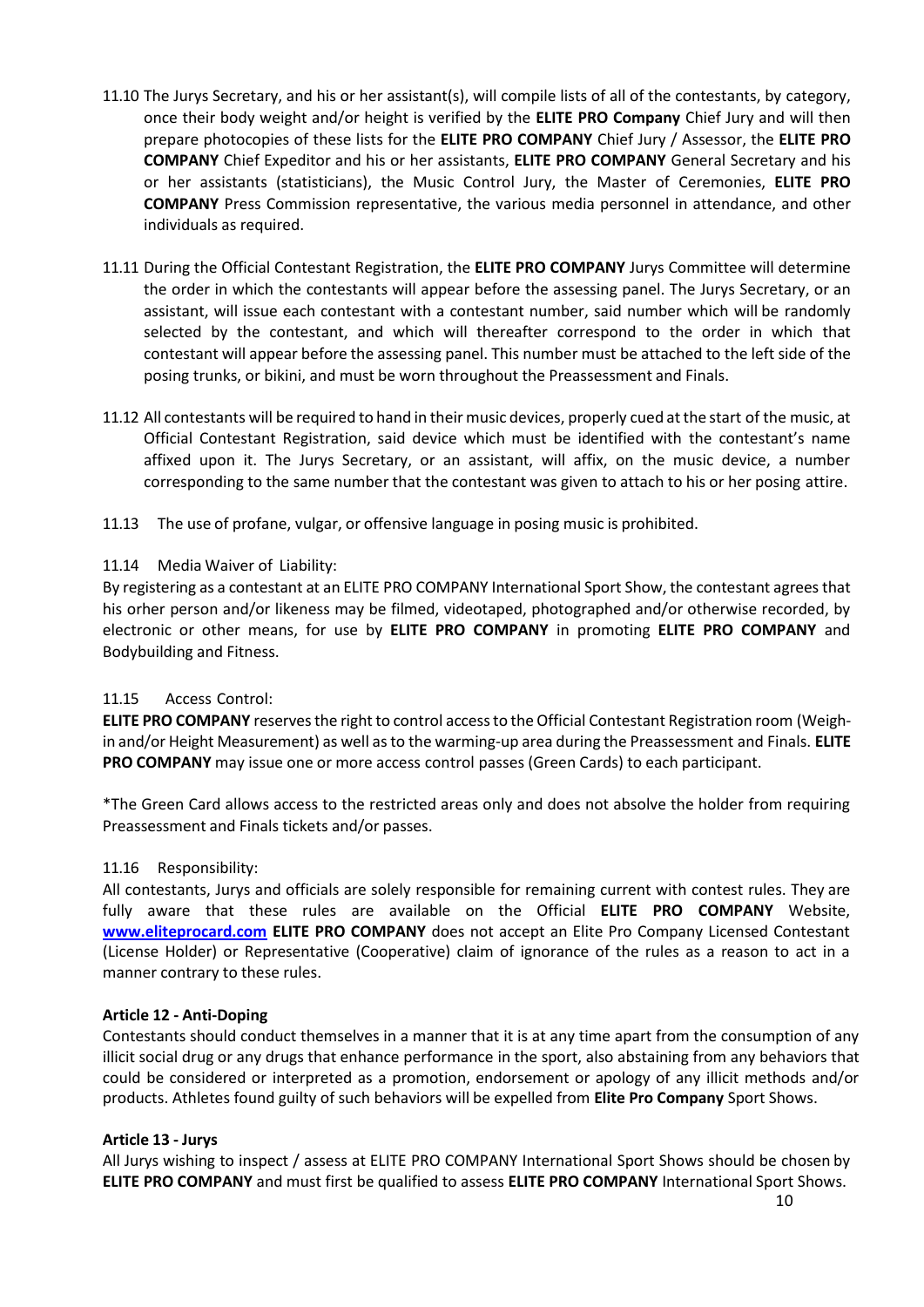- 11.10 The Jurys Secretary, and his or her assistant(s), will compile lists of all of the contestants, by category, once their body weight and/or height is verified by the **ELITE PRO Company** Chief Jury and will then prepare photocopies of these lists for the **ELITE PRO COMPANY** Chief Jury / Assessor, the **ELITE PRO COMPANY** Chief Expeditor and his or her assistants, **ELITE PRO COMPANY** General Secretary and his or her assistants (statisticians), the Music Control Jury, the Master of Ceremonies, **ELITE PRO COMPANY** Press Commission representative, the various media personnel in attendance, and other individuals as required.
- 11.11 During the Official Contestant Registration, the **ELITE PRO COMPANY** Jurys Committee will determine the order in which the contestants will appear before the assessing panel. The Jurys Secretary, or an assistant, will issue each contestant with a contestant number, said number which will be randomly selected by the contestant, and which will thereafter correspond to the order in which that contestant will appear before the assessing panel. This number must be attached to the left side of the posing trunks, or bikini, and must be worn throughout the Preassessment and Finals.
- 11.12 All contestants will be required to hand in their music devices, properly cued atthe start of the music, at Official Contestant Registration, said device which must be identified with the contestant's name affixed upon it. The Jurys Secretary, or an assistant, will affix, on the music device, a number corresponding to the same number that the contestant was given to attach to his or her posing attire.
- 11.13 The use of profane, vulgar, or offensive language in posing music is prohibited.

#### 11.14 Media Waiver of Liability:

By registering as a contestant at an ELITE PRO COMPANY International Sport Show, the contestant agrees that his orher person and/or likeness may be filmed, videotaped, photographed and/or otherwise recorded, by electronic or other means, for use by **ELITE PRO COMPANY** in promoting **ELITE PRO COMPANY** and Bodybuilding and Fitness.

#### 11.15 Access Control:

**ELITE PRO COMPANY** reserves the right to control access to the Official Contestant Registration room (Weighin and/or Height Measurement) as well asto the warming-up area during the Preassessment and Finals. **ELITE PRO COMPANY** may issue one or more access control passes (Green Cards) to each participant.

\*The Green Card allows access to the restricted areas only and does not absolve the holder from requiring Preassessment and Finals tickets and/or passes.

#### 11.16 Responsibility:

All contestants, Jurys and officials are solely responsible for remaining current with contest rules. They are fully aware that these rules are available on the Official **ELITE PRO COMPANY** Website, **[www.eliteprocard.com](http://www.eliteprocard.com/) ELITE PRO COMPANY** does not accept an Elite Pro Company Licensed Contestant (License Holder) or Representative (Cooperative) claim of ignorance of the rules as a reason to act in a manner contrary to these rules.

#### <span id="page-9-0"></span>**Article 12 - Anti-Doping**

Contestants should conduct themselves in a manner that it is at any time apart from the consumption of any illicit social drug or any drugs that enhance performance in the sport, also abstaining from any behaviors that could be considered or interpreted as a promotion, endorsement or apology of any illicit methods and/or products. Athletes found guilty of such behaviors will be expelled from **Elite Pro Company** Sport Shows.

#### <span id="page-9-1"></span>**Article 13 - Jurys**

All Jurys wishing to inspect / assess at ELITE PRO COMPANY International Sport Shows should be chosen by **ELITE PRO COMPANY** and must first be qualified to assess **ELITE PRO COMPANY** International Sport Shows.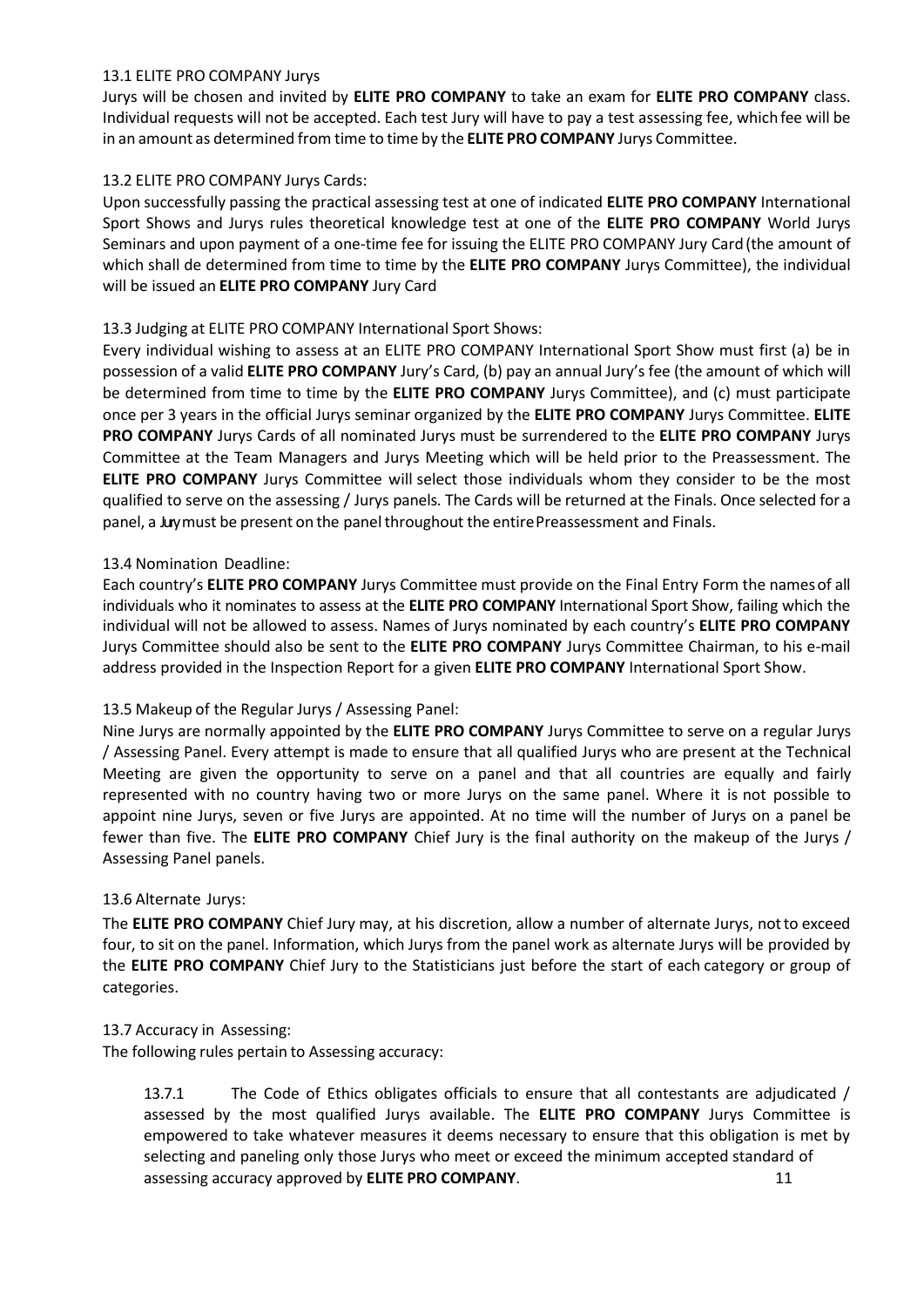#### 13.1 ELITE PRO COMPANY Jurys

Jurys will be chosen and invited by **ELITE PRO COMPANY** to take an exam for **ELITE PRO COMPANY** class. Individual requests will not be accepted. Each test Jury will have to pay a test assessing fee, which fee will be in an amount as determined from time to time by the **ELITE PROCOMPANY** Jurys Committee.

#### 13.2 ELITE PRO COMPANY Jurys Cards:

Upon successfully passing the practical assessing test at one of indicated **ELITE PRO COMPANY** International Sport Shows and Jurys rules theoretical knowledge test at one of the **ELITE PRO COMPANY** World Jurys Seminars and upon payment of a one-time fee for issuing the ELITE PRO COMPANY Jury Card(the amount of which shall de determined from time to time by the **ELITE PRO COMPANY** Jurys Committee), the individual will be issued an **ELITE PRO COMPANY** Jury Card

#### 13.3 Judging at ELITE PRO COMPANY International Sport Shows:

Every individual wishing to assess at an ELITE PRO COMPANY International Sport Show must first (a) be in possession of a valid **ELITE PRO COMPANY** Jury's Card, (b) pay an annual Jury's fee (the amount of which will be determined from time to time by the **ELITE PRO COMPANY** Jurys Committee), and (c) must participate once per 3 years in the official Jurys seminar organized by the **ELITE PRO COMPANY** Jurys Committee. **ELITE PRO COMPANY** Jurys Cards of all nominated Jurys must be surrendered to the **ELITE PRO COMPANY** Jurys Committee at the Team Managers and Jurys Meeting which will be held prior to the Preassessment. The **ELITE PRO COMPANY** Jurys Committee will select those individuals whom they consider to be the most qualified to serve on the assessing / Jurys panels. The Cards will be returned at the Finals. Once selected for a panel, a Juymust be present on the panel throughout the entire Preassessment and Finals.

#### 13.4 Nomination Deadline:

Each country's **ELITE PRO COMPANY** Jurys Committee must provide on the Final Entry Form the namesof all individuals who it nominates to assess at the **ELITE PRO COMPANY** International Sport Show, failing which the individual will not be allowed to assess. Names of Jurys nominated by each country's **ELITE PRO COMPANY**  Jurys Committee should also be sent to the **ELITE PRO COMPANY** Jurys Committee Chairman, to his e-mail address provided in the Inspection Report for a given **ELITE PRO COMPANY** International Sport Show.

### 13.5 Makeup of the Regular Jurys / Assessing Panel:

Nine Jurys are normally appointed by the **ELITE PRO COMPANY** Jurys Committee to serve on a regular Jurys / Assessing Panel. Every attempt is made to ensure that all qualified Jurys who are present at the Technical Meeting are given the opportunity to serve on a panel and that all countries are equally and fairly represented with no country having two or more Jurys on the same panel. Where it is not possible to appoint nine Jurys, seven or five Jurys are appointed. At no time will the number of Jurys on a panel be fewer than five. The **ELITE PRO COMPANY** Chief Jury is the final authority on the makeup of the Jurys / Assessing Panel panels.

#### 13.6 Alternate Jurys:

The **ELITE PRO COMPANY** Chief Jury may, at his discretion, allow a number of alternate Jurys, notto exceed four, to sit on the panel. Information, which Jurys from the panel work as alternate Jurys will be provided by the **ELITE PRO COMPANY** Chief Jury to the Statisticians just before the start of each category or group of categories.

#### 13.7 Accuracy in Assessing:

The following rules pertain to Assessing accuracy:

13.7.1 The Code of Ethics obligates officials to ensure that all contestants are adjudicated / assessed by the most qualified Jurys available. The **ELITE PRO COMPANY** Jurys Committee is empowered to take whatever measures it deems necessary to ensure that this obligation is met by selecting and paneling only those Jurys who meet or exceed the minimum accepted standard of assessing accuracy approved by **ELITE PRO COMPANY**. 11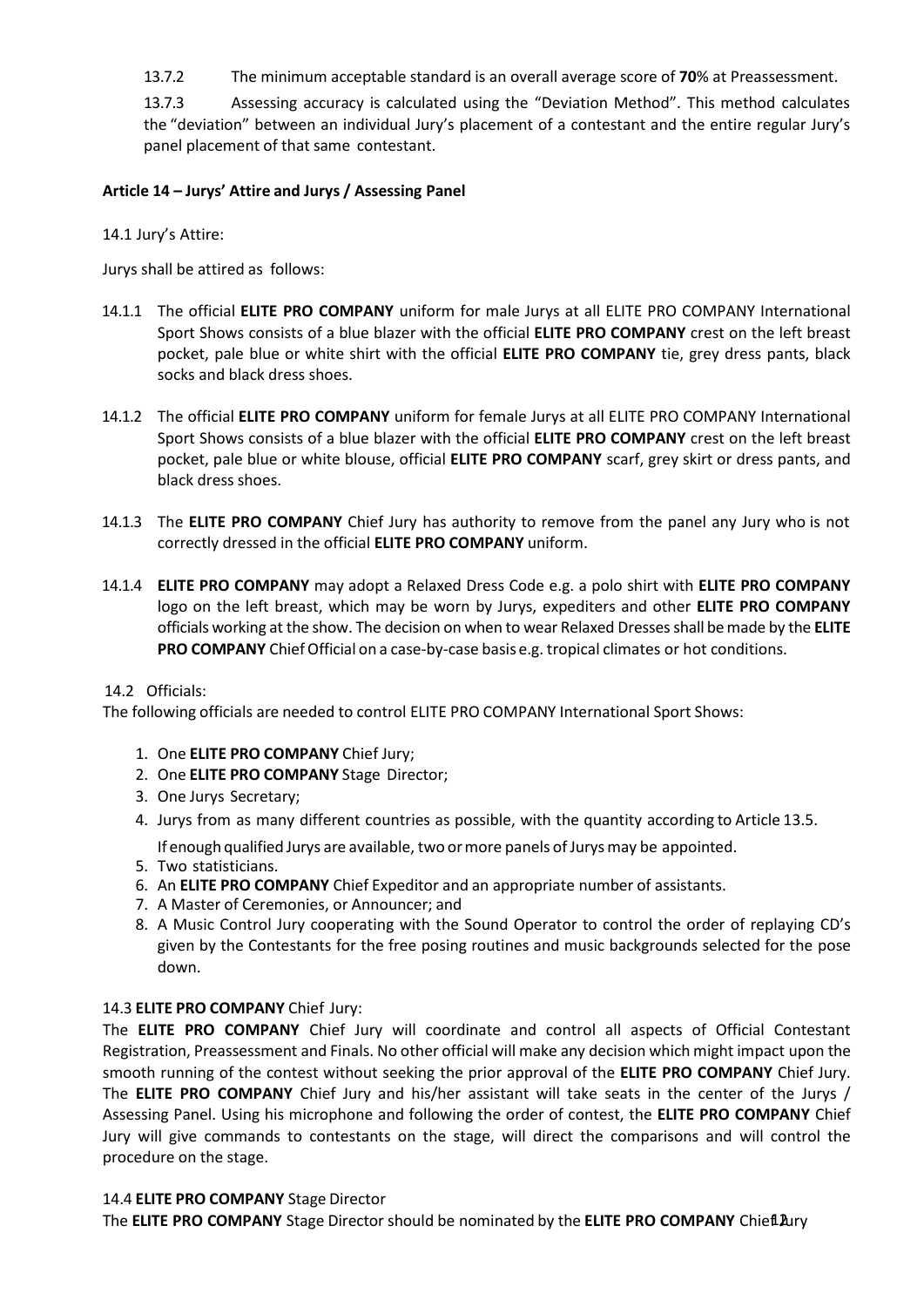13.7.2 The minimum acceptable standard is an overall average score of **70**% at Preassessment.

13.7.3 Assessing accuracy is calculated using the "Deviation Method". This method calculates the "deviation" between an individual Jury's placement of a contestant and the entire regular Jury's panel placement of that same contestant.

#### **Article 14 – Jurys' Attire and Jurys / Assessing Panel**

#### 14.1 Jury's Attire:

Jurys shall be attired as follows:

- 14.1.1 The official **ELITE PRO COMPANY** uniform for male Jurys at all ELITE PRO COMPANY International Sport Shows consists of a blue blazer with the official **ELITE PRO COMPANY** crest on the left breast pocket, pale blue or white shirt with the official **ELITE PRO COMPANY** tie, grey dress pants, black socks and black dress shoes.
- 14.1.2 The official **ELITE PRO COMPANY** uniform for female Jurys at all ELITE PRO COMPANY International Sport Shows consists of a blue blazer with the official **ELITE PRO COMPANY** crest on the left breast pocket, pale blue or white blouse, official **ELITE PRO COMPANY** scarf, grey skirt or dress pants, and black dress shoes.
- 14.1.3 The **ELITE PRO COMPANY** Chief Jury has authority to remove from the panel any Jury who is not correctly dressed in the official **ELITE PRO COMPANY** uniform.
- 14.1.4 **ELITE PRO COMPANY** may adopt a Relaxed Dress Code e.g. a polo shirt with **ELITE PRO COMPANY** logo on the left breast, which may be worn by Jurys, expediters and other **ELITE PRO COMPANY** officials working at the show. The decision on when to wear Relaxed Dressesshall bemade by the **ELITE PRO COMPANY** Chief Official on a case-by-case basis e.g. tropical climates or hot conditions.

#### 14.2 Officials:

The following officials are needed to control ELITE PRO COMPANY International Sport Shows:

- 1. One **ELITE PRO COMPANY** Chief Jury;
- 2. One **ELITE PRO COMPANY** Stage Director;
- 3. One Jurys Secretary;
- 4. Jurys from as many different countries as possible, with the quantity according to Article 13.5.
	- If enough qualified Jurys are available, two ormore panels of Jurysmay be appointed.
- 5. Two statisticians.
- 6. An **ELITE PRO COMPANY** Chief Expeditor and an appropriate number of assistants.
- 7. A Master of Ceremonies, or Announcer; and
- 8. A Music Control Jury cooperating with the Sound Operator to control the order of replaying CD's given by the Contestants for the free posing routines and music backgrounds selected for the pose down.

#### 14.3 **ELITE PRO COMPANY** Chief Jury:

The **ELITE PRO COMPANY** Chief Jury will coordinate and control all aspects of Official Contestant Registration, Preassessment and Finals. No other official will make any decision which might impact upon the smooth running of the contest without seeking the prior approval of the **ELITE PRO COMPANY** Chief Jury. The **ELITE PRO COMPANY** Chief Jury and his/her assistant will take seats in the center of the Jurys / Assessing Panel. Using his microphone and following the order of contest, the **ELITE PRO COMPANY** Chief Jury will give commands to contestants on the stage, will direct the comparisons and will control the procedure on the stage.

#### 14.4 **ELITE PRO COMPANY** Stage Director

The **ELITE PRO COMPANY** Stage Director should be nominated by the **ELITE PRO COMPANY** Chief12Jury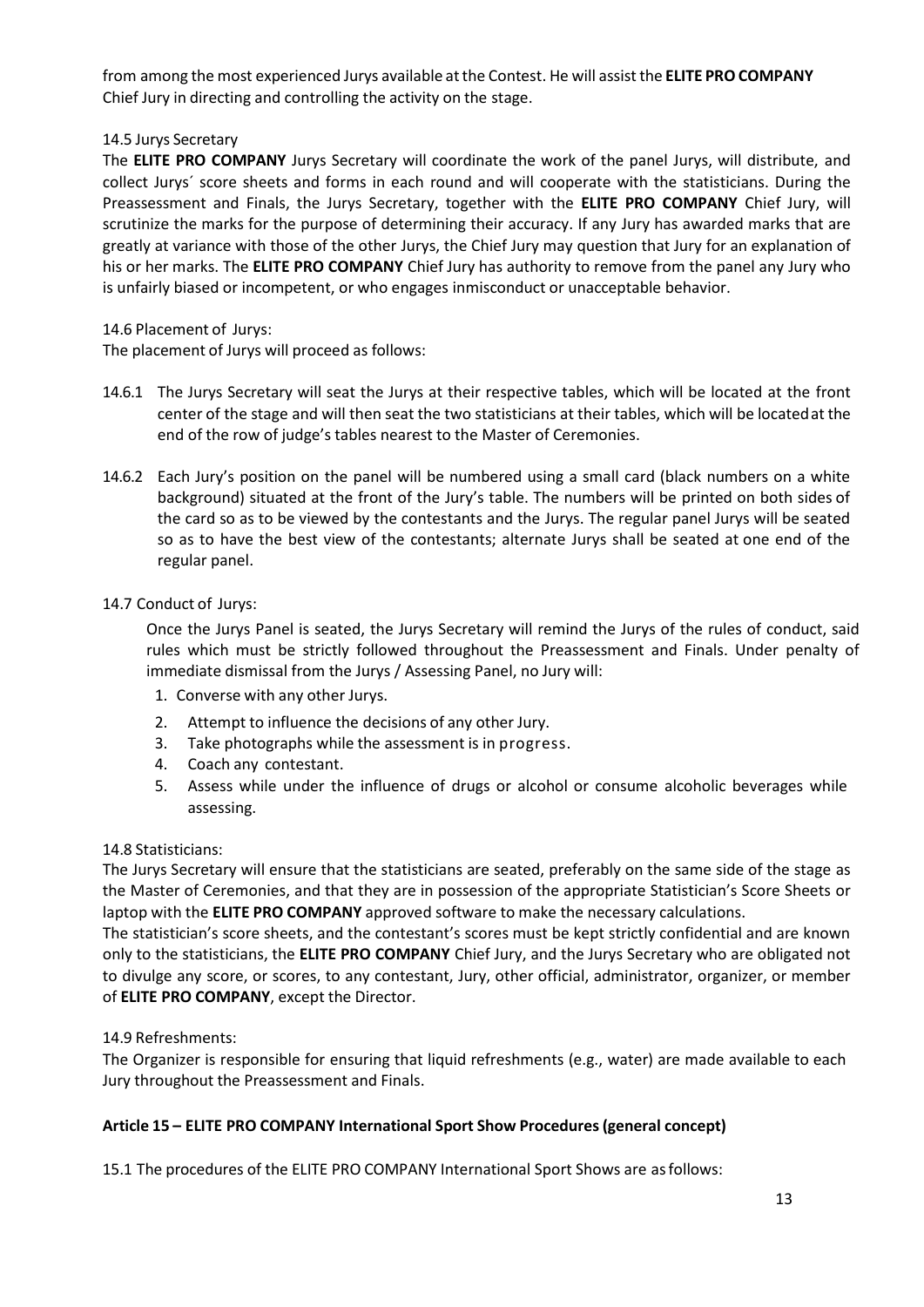from among the most experienced Jurys available atthe Contest. He will assistthe **ELITE PRO COMPANY** Chief Jury in directing and controlling the activity on the stage.

### 14.5 Jurys Secretary

The **ELITE PRO COMPANY** Jurys Secretary will coordinate the work of the panel Jurys, will distribute, and collect Jurys´ score sheets and forms in each round and will cooperate with the statisticians. During the Preassessment and Finals, the Jurys Secretary, together with the **ELITE PRO COMPANY** Chief Jury, will scrutinize the marks for the purpose of determining their accuracy. If any Jury has awarded marks that are greatly at variance with those of the other Jurys, the Chief Jury may question that Jury for an explanation of his or her marks. The **ELITE PRO COMPANY** Chief Jury has authority to remove from the panel any Jury who is unfairly biased or incompetent, or who engages inmisconduct or unacceptable behavior.

### 14.6 Placement of Jurys:

The placement of Jurys will proceed as follows:

- 14.6.1 The Jurys Secretary will seat the Jurys at their respective tables, which will be located at the front center of the stage and will then seat the two statisticians at their tables, which will be locatedat the end of the row of judge's tables nearest to the Master of Ceremonies.
- 14.6.2 Each Jury's position on the panel will be numbered using a small card (black numbers on a white background) situated at the front of the Jury's table. The numbers will be printed on both sides of the card so as to be viewed by the contestants and the Jurys. The regular panel Jurys will be seated so as to have the best view of the contestants; alternate Jurys shall be seated at one end of the regular panel.

# 14.7 Conduct of Jurys:

Once the Jurys Panel is seated, the Jurys Secretary will remind the Jurys of the rules of conduct, said rules which must be strictly followed throughout the Preassessment and Finals. Under penalty of immediate dismissal from the Jurys / Assessing Panel, no Jury will:

- 1. Converse with any other Jurys.
- 2. Attempt to influence the decisions of any other Jury.
- 3. Take photographs while the assessment is in progress.
- 4. Coach any contestant.
- 5. Assess while under the influence of drugs or alcohol or consume alcoholic beverages while assessing.

### 14.8 Statisticians:

The Jurys Secretary will ensure that the statisticians are seated, preferably on the same side of the stage as the Master of Ceremonies, and that they are in possession of the appropriate Statistician's Score Sheets or laptop with the **ELITE PRO COMPANY** approved software to make the necessary calculations.

The statistician's score sheets, and the contestant's scores must be kept strictly confidential and are known only to the statisticians, the **ELITE PRO COMPANY** Chief Jury, and the Jurys Secretary who are obligated not to divulge any score, or scores, to any contestant, Jury, other official, administrator, organizer, or member of **ELITE PRO COMPANY**, except the Director.

### 14.9 Refreshments:

The Organizer is responsible for ensuring that liquid refreshments (e.g., water) are made available to each Jury throughout the Preassessment and Finals.

# **Article 15 – ELITE PRO COMPANY International Sport Show Procedures(general concept)**

15.1 The procedures of the ELITE PRO COMPANY International Sport Shows are asfollows: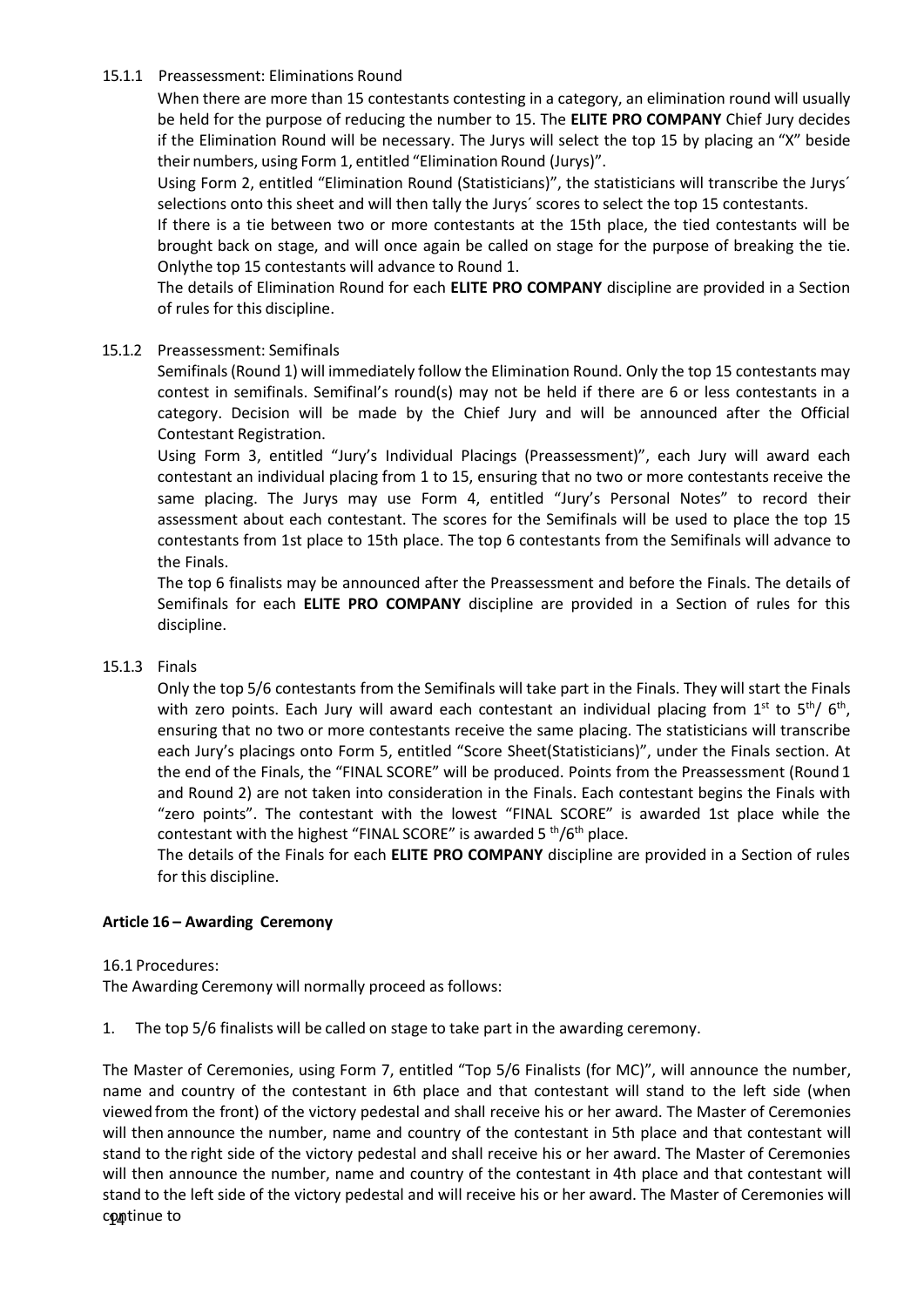#### 15.1.1 Preassessment: Eliminations Round

When there are more than 15 contestants contesting in a category, an elimination round will usually be held for the purpose of reducing the number to 15. The **ELITE PRO COMPANY** Chief Jury decides if the Elimination Round will be necessary. The Jurys will select the top 15 by placing an "X" beside their numbers, using Form 1, entitled "Elimination Round (Jurys)".

Using Form 2, entitled "Elimination Round (Statisticians)", the statisticians will transcribe the Jurys´ selections onto this sheet and will then tally the Jurys´ scores to select the top 15 contestants.

If there is a tie between two or more contestants at the 15th place, the tied contestants will be brought back on stage, and will once again be called on stage for the purpose of breaking the tie. Onlythe top 15 contestants will advance to Round 1.

The details of Elimination Round for each **ELITE PRO COMPANY** discipline are provided in a Section of rules for this discipline.

#### 15.1.2 Preassessment: Semifinals

Semifinals(Round 1) will immediately follow the Elimination Round. Only the top 15 contestants may contest in semifinals. Semifinal's round(s) may not be held if there are 6 or less contestants in a category. Decision will be made by the Chief Jury and will be announced after the Official Contestant Registration.

Using Form 3, entitled "Jury's Individual Placings (Preassessment)", each Jury will award each contestant an individual placing from 1 to 15, ensuring that no two or more contestants receive the same placing. The Jurys may use Form 4, entitled "Jury's Personal Notes" to record their assessment about each contestant. The scores for the Semifinals will be used to place the top 15 contestants from 1st place to 15th place. The top 6 contestants from the Semifinals will advance to the Finals.

The top 6 finalists may be announced after the Preassessment and before the Finals. The details of Semifinals for each **ELITE PRO COMPANY** discipline are provided in a Section of rules for this discipline.

#### 15.1.3 Finals

Only the top 5/6 contestants from the Semifinals will take part in the Finals. They will start the Finals with zero points. Each Jury will award each contestant an individual placing from 1st to 5<sup>th</sup>/ 6<sup>th</sup>, ensuring that no two or more contestants receive the same placing. The statisticians will transcribe each Jury's placings onto Form 5, entitled "Score Sheet(Statisticians)", under the Finals section. At the end of the Finals, the "FINAL SCORE" will be produced. Points from the Preassessment (Round 1 and Round 2) are not taken into consideration in the Finals. Each contestant begins the Finals with "zero points". The contestant with the lowest "FINAL SCORE" is awarded 1st place while the contestant with the highest "FINAL SCORE" is awarded 5 <sup>th</sup>/6<sup>th</sup> place.

The details of the Finals for each **ELITE PRO COMPANY** discipline are provided in a Section of rules for this discipline.

#### <span id="page-13-0"></span>**Article 16 – Awarding Ceremony**

#### 16.1 Procedures:

The Awarding Ceremony will normally proceed as follows:

1. The top 5/6 finalists will be called on stage to take part in the awarding ceremony.

The Master of Ceremonies, using Form 7, entitled "Top 5/6 Finalists (for MC)", will announce the number, name and country of the contestant in 6th place and that contestant will stand to the left side (when viewed from the front) of the victory pedestal and shall receive his or her award. The Master of Ceremonies will then announce the number, name and country of the contestant in 5th place and that contestant will stand to the right side of the victory pedestal and shall receive his or her award. The Master of Ceremonies will then announce the number, name and country of the contestant in 4th place and that contestant will stand to the left side of the victory pedestal and will receive his or her award. The Master of Ceremonies will continue to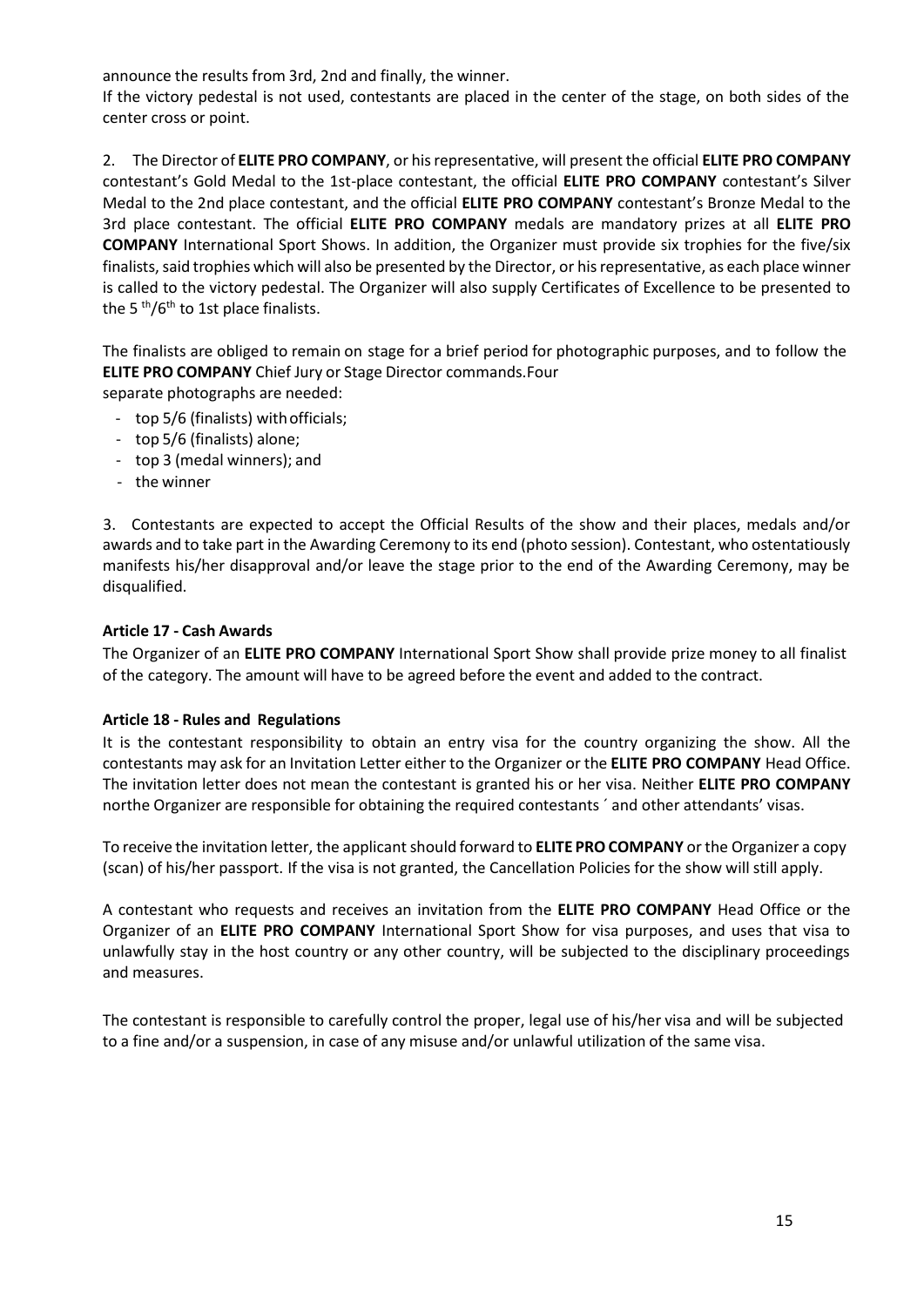announce the results from 3rd, 2nd and finally, the winner.

If the victory pedestal is not used, contestants are placed in the center of the stage, on both sides of the center cross or point.

2. The Director of **ELITE PRO COMPANY**, or hisrepresentative, will present the official **ELITE PRO COMPANY** contestant's Gold Medal to the 1st-place contestant, the official **ELITE PRO COMPANY** contestant's Silver Medal to the 2nd place contestant, and the official **ELITE PRO COMPANY** contestant's Bronze Medal to the 3rd place contestant. The official **ELITE PRO COMPANY** medals are mandatory prizes at all **ELITE PRO COMPANY** International Sport Shows. In addition, the Organizer must provide six trophies for the five/six finalists, said trophies which will also be presented by the Director, or his representative, as each place winner is called to the victory pedestal. The Organizer will also supply Certificates of Excellence to be presented to the 5 <sup>th</sup>/6<sup>th</sup> to 1st place finalists.

The finalists are obliged to remain on stage for a brief period for photographic purposes, and to follow the **ELITE PRO COMPANY** Chief Jury or Stage Director commands.Four

separate photographs are needed:

- top 5/6 (finalists) withofficials;
- top 5/6 (finalists) alone;
- top 3 (medal winners); and
- the winner

3. Contestants are expected to accept the Official Results of the show and their places, medals and/or awards and to take part in the Awarding Ceremony to its end (photo session). Contestant, who ostentatiously manifests his/her disapproval and/or leave the stage prior to the end of the Awarding Ceremony, may be disqualified.

#### <span id="page-14-0"></span>**Article 17 - Cash Awards**

The Organizer of an **ELITE PRO COMPANY** International Sport Show shall provide prize money to all finalist of the category. The amount will have to be agreed before the event and added to the contract.

#### <span id="page-14-1"></span>**Article 18 - Rules and Regulations**

It is the contestant responsibility to obtain an entry visa for the country organizing the show. All the contestants may ask for an Invitation Letter either to the Organizer or the **ELITE PRO COMPANY** Head Office. The invitation letter does not mean the contestant is granted his or her visa. Neither **ELITE PRO COMPANY** northe Organizer are responsible for obtaining the required contestants ´ and other attendants' visas.

To receive the invitation letter, the applicant should forward to **ELITE PRO COMPANY** or the Organizer a copy (scan) of his/her passport. If the visa is not granted, the Cancellation Policies for the show will still apply.

A contestant who requests and receives an invitation from the **ELITE PRO COMPANY** Head Office or the Organizer of an **ELITE PRO COMPANY** International Sport Show for visa purposes, and uses that visa to unlawfully stay in the host country or any other country, will be subjected to the disciplinary proceedings and measures.

The contestant is responsible to carefully control the proper, legal use of his/her visa and will be subjected to a fine and/or a suspension, in case of any misuse and/or unlawful utilization of the same visa.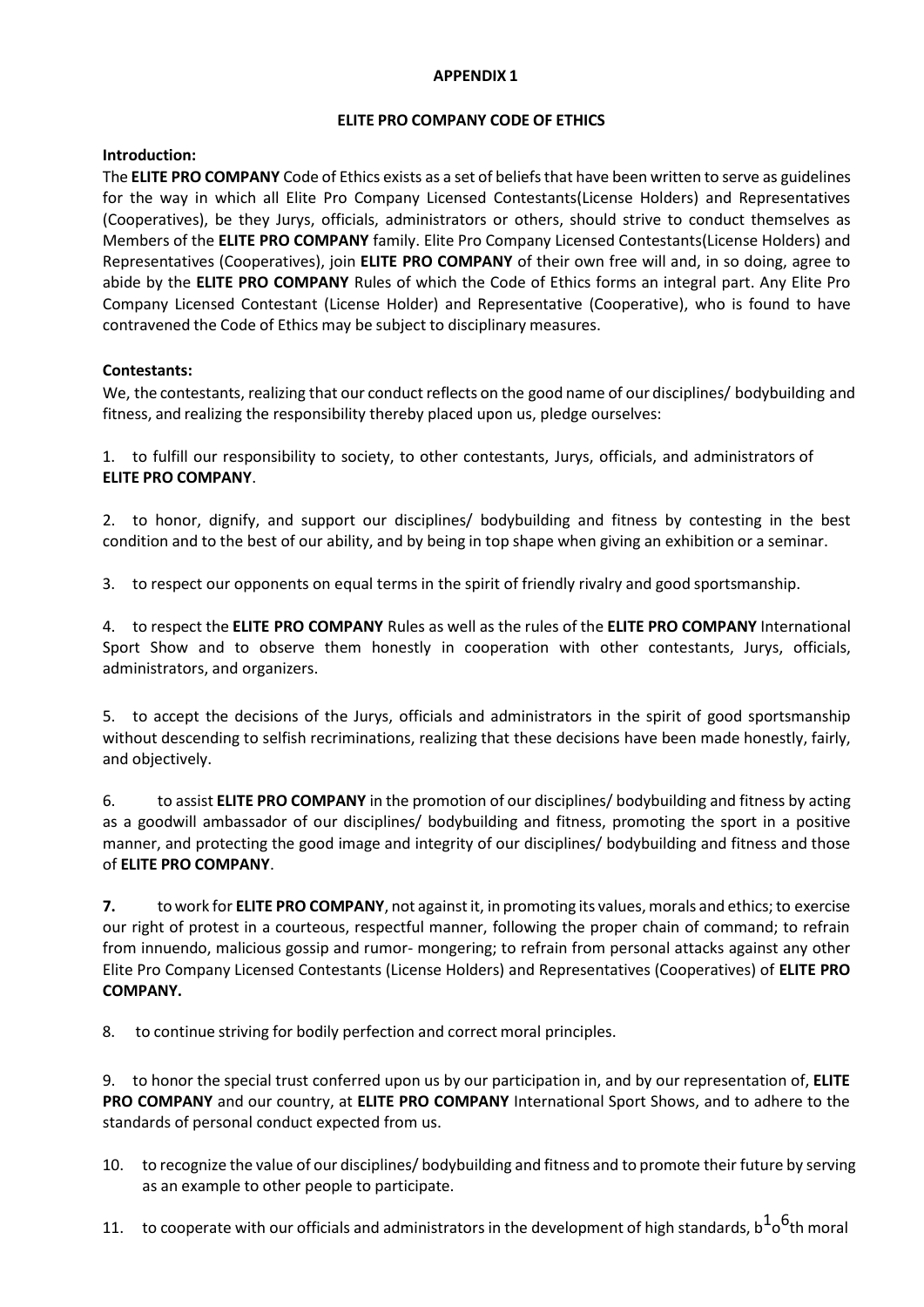#### **APPENDIX 1**

#### **ELITE PRO COMPANY CODE OF ETHICS**

#### **Introduction:**

The **ELITE PRO COMPANY** Code of Ethics exists as a set of beliefsthat have been written to serve as guidelines for the way in which all Elite Pro Company Licensed Contestants(License Holders) and Representatives (Cooperatives), be they Jurys, officials, administrators or others, should strive to conduct themselves as Members of the **ELITE PRO COMPANY** family. Elite Pro Company Licensed Contestants(License Holders) and Representatives (Cooperatives), join **ELITE PRO COMPANY** of their own free will and, in so doing, agree to abide by the **ELITE PRO COMPANY** Rules of which the Code of Ethics forms an integral part. Any Elite Pro Company Licensed Contestant (License Holder) and Representative (Cooperative), who is found to have contravened the Code of Ethics may be subject to disciplinary measures.

### **Contestants:**

We, the contestants, realizing that our conduct reflects on the good name of our disciplines/ bodybuilding and fitness, and realizing the responsibility thereby placed upon us, pledge ourselves:

1. to fulfill our responsibility to society, to other contestants, Jurys, officials, and administrators of **ELITE PRO COMPANY**.

2. to honor, dignify, and support our disciplines/ bodybuilding and fitness by contesting in the best condition and to the best of our ability, and by being in top shape when giving an exhibition or a seminar.

3. to respect our opponents on equal terms in the spirit of friendly rivalry and good sportsmanship.

4. to respect the **ELITE PRO COMPANY** Rules as well as the rules of the **ELITE PRO COMPANY** International Sport Show and to observe them honestly in cooperation with other contestants, Jurys, officials, administrators, and organizers.

5. to accept the decisions of the Jurys, officials and administrators in the spirit of good sportsmanship without descending to selfish recriminations, realizing that these decisions have been made honestly, fairly, and objectively.

6. to assist **ELITE PRO COMPANY** in the promotion of our disciplines/ bodybuilding and fitness by acting as a goodwill ambassador of our disciplines/ bodybuilding and fitness, promoting the sport in a positive manner, and protecting the good image and integrity of our disciplines/ bodybuilding and fitness and those of **ELITE PRO COMPANY**.

**7.** to work for **ELITE PRO COMPANY**, not againstit, in promoting its values,morals and ethics;to exercise our right of protest in a courteous, respectful manner, following the proper chain of command; to refrain from innuendo, malicious gossip and rumor- mongering; to refrain from personal attacks against any other Elite Pro Company Licensed Contestants (License Holders) and Representatives (Cooperatives) of **ELITE PRO COMPANY.**

8. to continue striving for bodily perfection and correct moral principles.

9. to honor the special trust conferred upon us by our participation in, and by our representation of, **ELITE PRO COMPANY** and our country, at **ELITE PRO COMPANY** International Sport Shows, and to adhere to the standards of personal conduct expected from us.

- 10. to recognize the value of our disciplines/ bodybuilding and fitness and to promote their future by serving as an example to other people to participate.
- 11.  $\,$  to cooperate with our officials and administrators in the development of high standards,  $b^{\bf 1o^{\bf 6}}$ th moral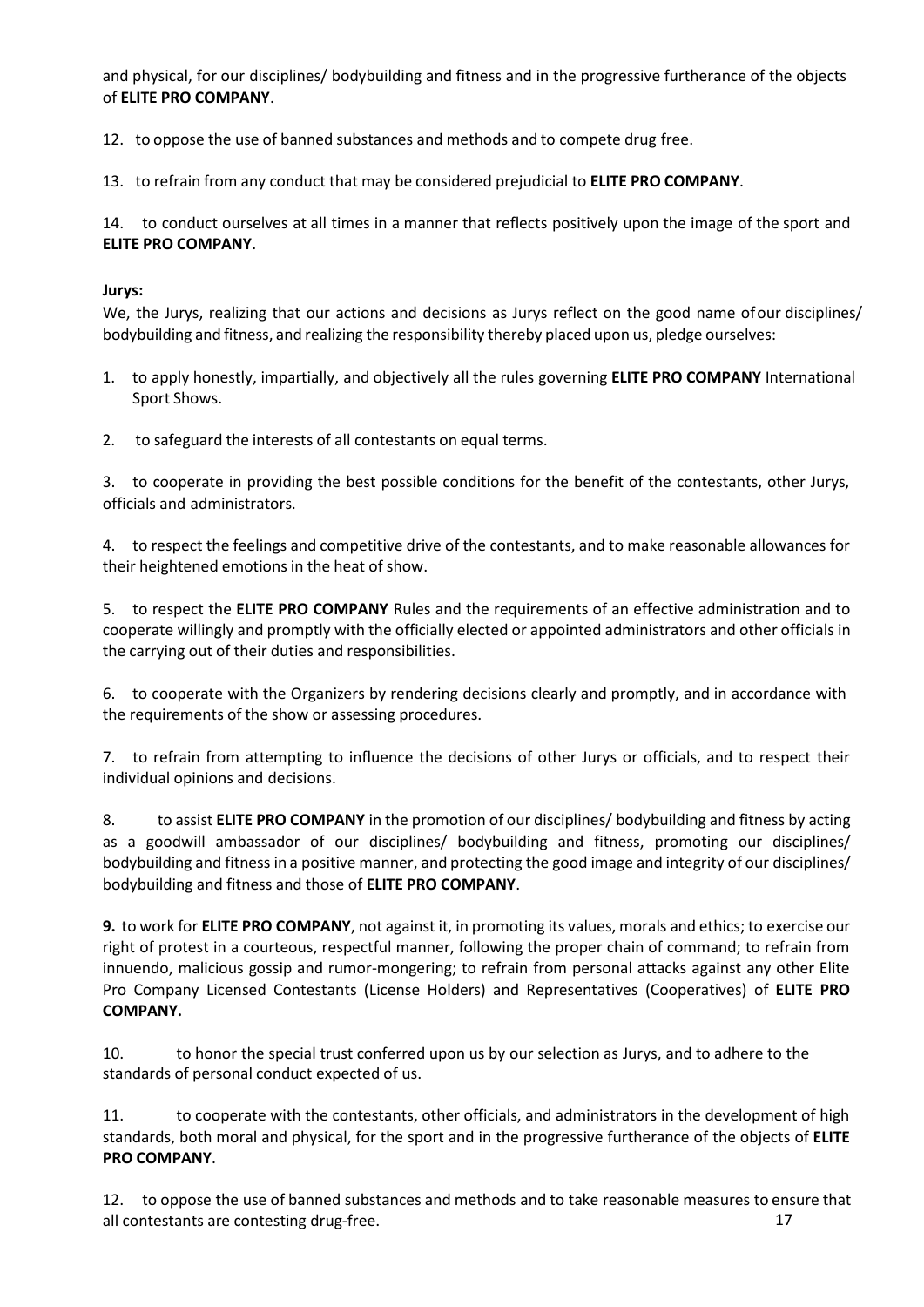and physical, for our disciplines/ bodybuilding and fitness and in the progressive furtherance of the objects of **ELITE PRO COMPANY**.

12. to oppose the use of banned substances and methods and to compete drug free.

13. to refrain from any conduct that may be considered prejudicial to **ELITE PRO COMPANY**.

14. to conduct ourselves at all times in a manner that reflects positively upon the image of the sport and **ELITE PRO COMPANY**.

#### **Jurys:**

We, the Jurys, realizing that our actions and decisions as Jurys reflect on the good name ofour disciplines/ bodybuilding and fitness, and realizing the responsibility thereby placed upon us, pledge ourselves:

- 1. to apply honestly, impartially, and objectively all the rules governing **ELITE PRO COMPANY** International Sport Shows.
- 2. to safeguard the interests of all contestants on equal terms.

3. to cooperate in providing the best possible conditions for the benefit of the contestants, other Jurys, officials and administrators.

4. to respect the feelings and competitive drive of the contestants, and to make reasonable allowances for their heightened emotions in the heat of show.

5. to respect the **ELITE PRO COMPANY** Rules and the requirements of an effective administration and to cooperate willingly and promptly with the officially elected or appointed administrators and other officials in the carrying out of their duties and responsibilities.

6. to cooperate with the Organizers by rendering decisions clearly and promptly, and in accordance with the requirements of the show or assessing procedures.

7. to refrain from attempting to influence the decisions of other Jurys or officials, and to respect their individual opinions and decisions.

8. to assist **ELITE PRO COMPANY** in the promotion of our disciplines/ bodybuilding and fitness by acting as a goodwill ambassador of our disciplines/ bodybuilding and fitness, promoting our disciplines/ bodybuilding and fitness in a positive manner, and protecting the good image and integrity of our disciplines/ bodybuilding and fitness and those of **ELITE PRO COMPANY**.

**9.** to work for **ELITE PRO COMPANY**, not against it, in promoting its values, morals and ethics; to exercise our right of protest in a courteous, respectful manner, following the proper chain of command; to refrain from innuendo, malicious gossip and rumor-mongering; to refrain from personal attacks against any other Elite Pro Company Licensed Contestants (License Holders) and Representatives (Cooperatives) of **ELITE PRO COMPANY.**

10. to honor the special trust conferred upon us by our selection as Jurys, and to adhere to the standards of personal conduct expected of us.

11. to cooperate with the contestants, other officials, and administrators in the development of high standards, both moral and physical, for the sport and in the progressive furtherance of the objects of **ELITE PRO COMPANY**.

12. to oppose the use of banned substances and methods and to take reasonable measures to ensure that all contestants are contesting drug-free. 17 and 17 and 17 and 17 and 17 and 17 and 17 and 17 and 17 and 17 and 17 and 17 and 17 and 17 and 17 and 17 and 17 and 17 and 17 and 17 and 17 and 17 and 17 and 17 and 17 and 17 an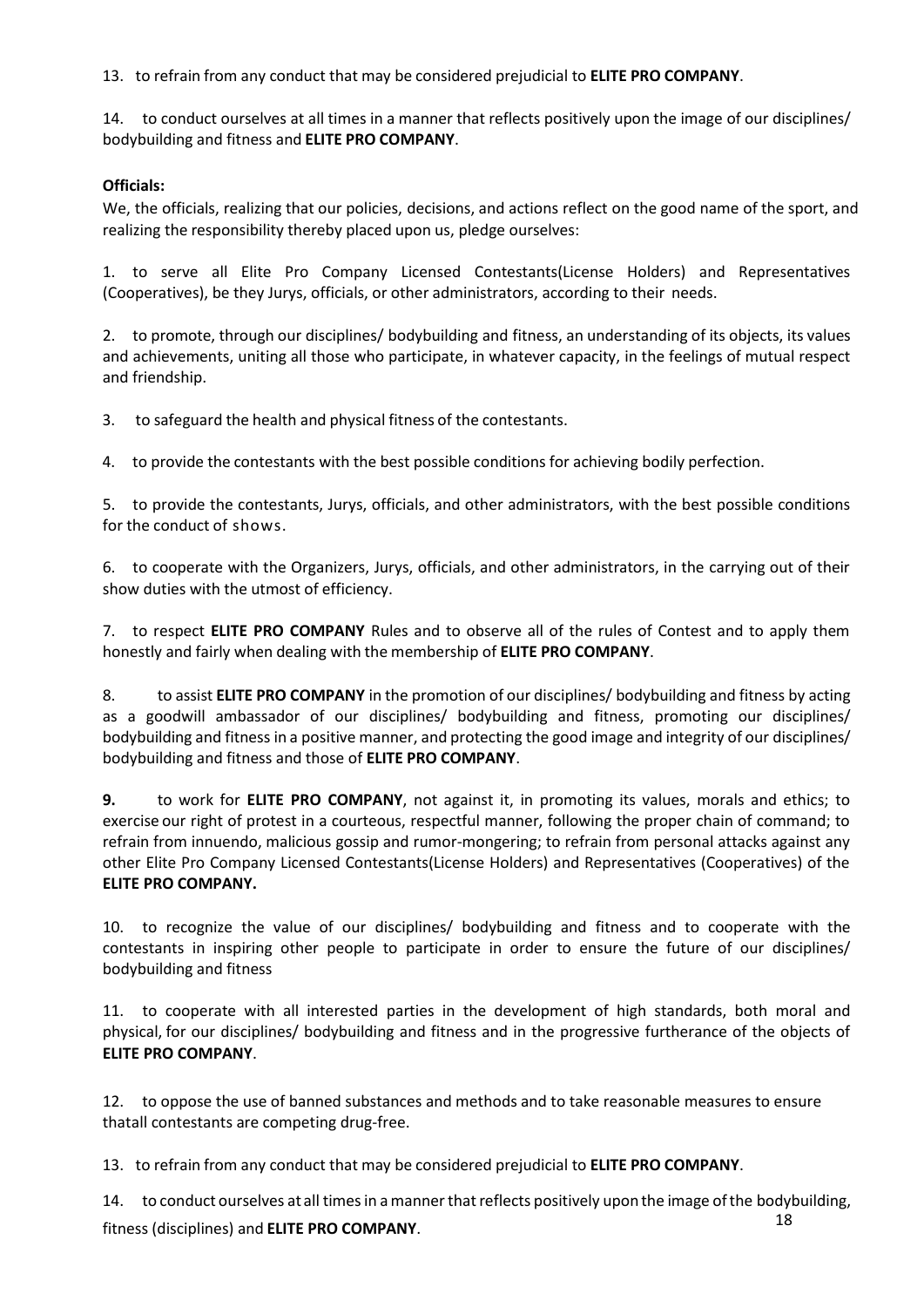13. to refrain from any conduct that may be considered prejudicial to **ELITE PRO COMPANY**.

14. to conduct ourselves at all times in a manner that reflects positively upon the image of our disciplines/ bodybuilding and fitness and **ELITE PRO COMPANY**.

### **Officials:**

We, the officials, realizing that our policies, decisions, and actions reflect on the good name of the sport, and realizing the responsibility thereby placed upon us, pledge ourselves:

1. to serve all Elite Pro Company Licensed Contestants(License Holders) and Representatives (Cooperatives), be they Jurys, officials, or other administrators, according to their needs.

2. to promote, through our disciplines/ bodybuilding and fitness, an understanding of its objects, its values and achievements, uniting all those who participate, in whatever capacity, in the feelings of mutual respect and friendship.

3. to safeguard the health and physical fitness of the contestants.

4. to provide the contestants with the best possible conditions for achieving bodily perfection.

5. to provide the contestants, Jurys, officials, and other administrators, with the best possible conditions for the conduct of shows.

6. to cooperate with the Organizers, Jurys, officials, and other administrators, in the carrying out of their show duties with the utmost of efficiency.

7. to respect **ELITE PRO COMPANY** Rules and to observe all of the rules of Contest and to apply them honestly and fairly when dealing with the membership of **ELITE PRO COMPANY**.

8. to assist **ELITE PRO COMPANY** in the promotion of our disciplines/ bodybuilding and fitness by acting as a goodwill ambassador of our disciplines/ bodybuilding and fitness, promoting our disciplines/ bodybuilding and fitness in a positive manner, and protecting the good image and integrity of our disciplines/ bodybuilding and fitness and those of **ELITE PRO COMPANY**.

**9.** to work for **ELITE PRO COMPANY**, not against it, in promoting its values, morals and ethics; to exercise our right of protest in a courteous, respectful manner, following the proper chain of command; to refrain from innuendo, malicious gossip and rumor-mongering; to refrain from personal attacks against any other Elite Pro Company Licensed Contestants(License Holders) and Representatives (Cooperatives) of the **ELITE PRO COMPANY.**

10. to recognize the value of our disciplines/ bodybuilding and fitness and to cooperate with the contestants in inspiring other people to participate in order to ensure the future of our disciplines/ bodybuilding and fitness

11. to cooperate with all interested parties in the development of high standards, both moral and physical, for our disciplines/ bodybuilding and fitness and in the progressive furtherance of the objects of **ELITE PRO COMPANY**.

12. to oppose the use of banned substances and methods and to take reasonable measures to ensure thatall contestants are competing drug-free.

13. to refrain from any conduct that may be considered prejudicial to **ELITE PRO COMPANY**.

14. to conduct ourselves at all times in a manner that reflects positively upon the image of the bodybuilding, fitness (disciplines) and **ELITE PRO COMPANY**. 18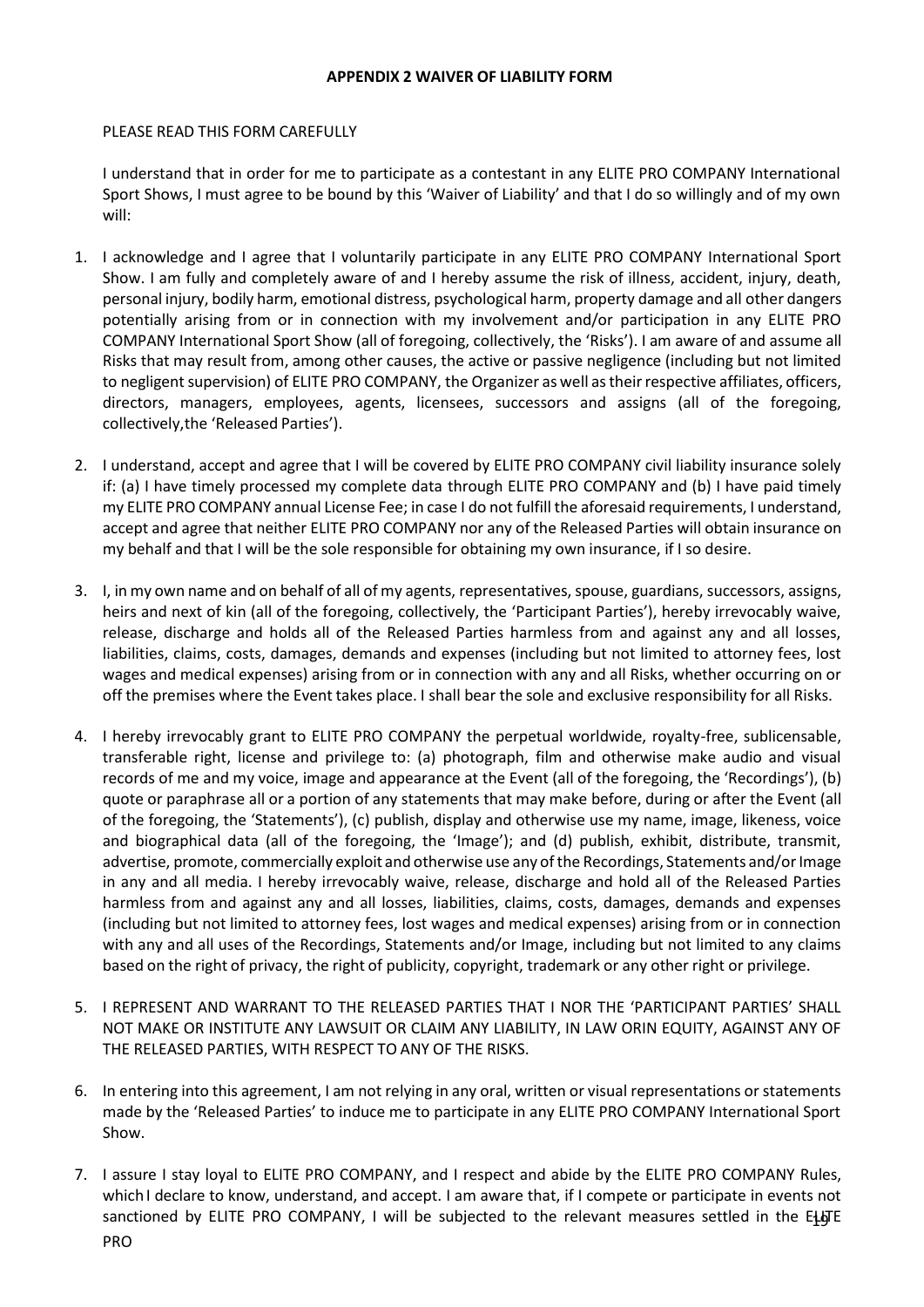#### **APPENDIX 2 WAIVER OF LIABILITY FORM**

#### <span id="page-18-0"></span>PLEASE READ THIS FORM CAREFULLY

I understand that in order for me to participate as a contestant in any ELITE PRO COMPANY International Sport Shows, I must agree to be bound by this 'Waiver of Liability' and that I do so willingly and of my own will:

- 1. I acknowledge and I agree that I voluntarily participate in any ELITE PRO COMPANY International Sport Show. I am fully and completely aware of and I hereby assume the risk of illness, accident, injury, death, personal injury, bodily harm, emotional distress, psychological harm, property damage and all other dangers potentially arising from or in connection with my involvement and/or participation in any ELITE PRO COMPANY International Sport Show (all of foregoing, collectively, the 'Risks'). I am aware of and assume all Risks that may result from, among other causes, the active or passive negligence (including but not limited to negligent supervision) of ELITE PRO COMPANY, the Organizer as well as their respective affiliates, officers, directors, managers, employees, agents, licensees, successors and assigns (all of the foregoing, collectively,the 'Released Parties').
- 2. I understand, accept and agree that I will be covered by ELITE PRO COMPANY civil liability insurance solely if: (a) I have timely processed my complete data through ELITE PRO COMPANY and (b) I have paid timely my ELITE PRO COMPANY annual License Fee; in case I do not fulfill the aforesaid requirements, I understand, accept and agree that neither ELITE PRO COMPANY nor any of the Released Parties will obtain insurance on my behalf and that I will be the sole responsible for obtaining my own insurance, if I so desire.
- 3. I, in my own name and on behalf of all of my agents, representatives, spouse, guardians, successors, assigns, heirs and next of kin (all of the foregoing, collectively, the 'Participant Parties'), hereby irrevocably waive, release, discharge and holds all of the Released Parties harmless from and against any and all losses, liabilities, claims, costs, damages, demands and expenses (including but not limited to attorney fees, lost wages and medical expenses) arising from or in connection with any and all Risks, whether occurring on or off the premises where the Event takes place. I shall bear the sole and exclusive responsibility for all Risks.
- 4. I hereby irrevocably grant to ELITE PRO COMPANY the perpetual worldwide, royalty-free, sublicensable, transferable right, license and privilege to: (a) photograph, film and otherwise make audio and visual records of me and my voice, image and appearance at the Event (all of the foregoing, the 'Recordings'), (b) quote or paraphrase all or a portion of any statements that may make before, during or after the Event (all of the foregoing, the 'Statements'), (c) publish, display and otherwise use my name, image, likeness, voice and biographical data (all of the foregoing, the 'Image'); and (d) publish, exhibit, distribute, transmit, advertise, promote, commercially exploit and otherwise use any of the Recordings, Statements and/or Image in any and all media. I hereby irrevocably waive, release, discharge and hold all of the Released Parties harmless from and against any and all losses, liabilities, claims, costs, damages, demands and expenses (including but not limited to attorney fees, lost wages and medical expenses) arising from or in connection with any and all uses of the Recordings, Statements and/or Image, including but not limited to any claims based on the right of privacy, the right of publicity, copyright, trademark or any other right or privilege.
- 5. I REPRESENT AND WARRANT TO THE RELEASED PARTIES THAT I NOR THE 'PARTICIPANT PARTIES' SHALL NOT MAKE OR INSTITUTE ANY LAWSUIT OR CLAIM ANY LIABILITY, IN LAW ORIN EQUITY, AGAINST ANY OF THE RELEASED PARTIES, WITH RESPECT TO ANY OF THE RISKS.
- 6. In entering into this agreement, I am not relying in any oral, written or visual representations or statements made by the 'Released Parties' to induce me to participate in any ELITE PRO COMPANY International Sport Show.
- 7. I assure I stay loyal to ELITE PRO COMPANY, and I respect and abide by the ELITE PRO COMPANY Rules, which I declare to know, understand, and accept. I am aware that, if I compete or participate in events not sanctioned by ELITE PRO COMPANY, I will be subjected to the relevant measures settled in the E $\ddagger$ gTE PRO